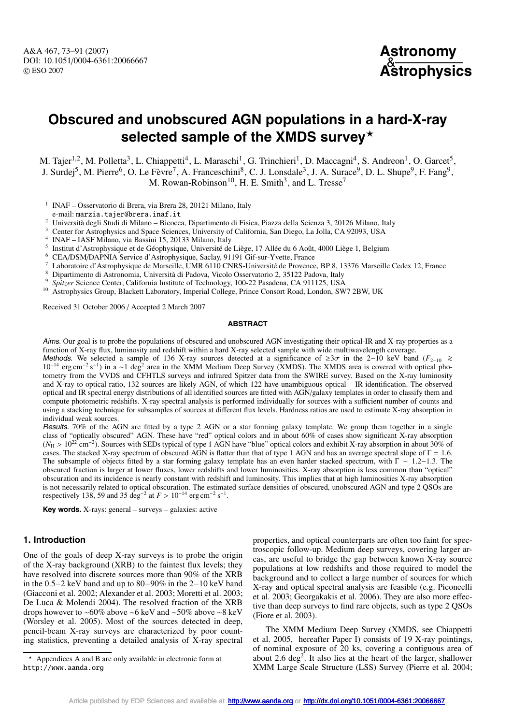## **Obscured and unobscured AGN populations in a hard-X-ray selected sample of the XMDS survey**

M. Tajer<sup>1,2</sup>, M. Polletta<sup>3</sup>, L. Chiappetti<sup>4</sup>, L. Maraschi<sup>1</sup>, G. Trinchieri<sup>1</sup>, D. Maccagni<sup>4</sup>, S. Andreon<sup>1</sup>, O. Garcet<sup>5</sup>, J. Surdej<sup>5</sup>, M. Pierre<sup>6</sup>, O. Le Fèvre<sup>7</sup>, A. Franceschini<sup>8</sup>, C. J. Lonsdale<sup>3</sup>, J. A. Surace<sup>9</sup>, D. L. Shupe<sup>9</sup>, F. Fang<sup>9</sup>, M. Rowan-Robinson<sup>10</sup>, H. E. Smith<sup>3</sup>, and L. Tresse<sup>7</sup>

<sup>1</sup> INAF – Osservatorio di Brera, via Brera 28, 20121 Milano, Italy

e-mail: marzia.tajer@brera.inaf.it

<sup>2</sup> Università degli Studi di Milano – Bicocca, Dipartimento di Fisica, Piazza della Scienza 3, 20126 Milano, Italy

<sup>3</sup> Center for Astrophysics and Space Sciences, University of California, San Diego, La Jolla, CA 92093, USA

<sup>4</sup> INAF – IASF Milano, via Bassini 15, 20133 Milano, Italy

<sup>5</sup> Institut d'Astrophysique et de Géophysique, Université de Liège, 17 Allée du 6 Août, 4000 Liège 1, Belgium

- 
- <sup>6</sup> CEA/DSM/DAPNIA Service d'Astrophysique, Saclay, 91191 Gif-sur-Yvette, France<br>
<sup>7</sup> Laboratoire d'Astrophysique de Marseille, UMR 6110 CNRS-Université de Provence, BP 8, 13376 Marseille Cedex 12, France<br>
<sup>8</sup> Dipartiment

Received 31 October 2006 / Accepted 2 March 2007

## **ABSTRACT**

Aims. Our goal is to probe the populations of obscured and unobscured AGN investigating their optical-IR and X-ray properties as a function of X-ray flux, luminosity and redshift within a hard X-ray selected sample with wide multiwavelength coverage.

Methods. We selected a sample of 136 X-ray sources detected at a significance of  $\geq 3\sigma$  in the 2-10 keV band ( $F_{2-10} \geq 10^{-14}$  erg cm<sup>-2</sup> s<sup>-1</sup>) in a ~1 deg<sup>2</sup> area in the XMM Medium Deep Survey (XMDS). The XMDS are tometry from the VVDS and CFHTLS surveys and infrared Spitzer data from the SWIRE survey. Based on the X-ray luminosity and X-ray to optical ratio, 132 sources are likely AGN, of which 122 have unambiguous optical – IR identification. The observed optical and IR spectral energy distributions of all identified sources are fitted with AGN/galaxy templates in order to classify them and compute photometric redshifts. X-ray spectral analysis is performed individually for sources with a sufficient number of counts and using a stacking technique for subsamples of sources at different flux levels. Hardness ratios are used to estimate X-ray absorption in individual weak sources.

Results. 70% of the AGN are fitted by a type 2 AGN or a star forming galaxy template. We group them together in a single class of "optically obscured" AGN. These have "red" optical colors and in about 60% of cases show significant X-ray absorption (*N*<sup>H</sup> <sup>&</sup>gt; <sup>1022</sup> cm−2). Sources with SEDs typical of type 1 AGN have "blue" optical colors and exhibit X-ray absorption in about 30% of cases. The stacked X-ray spectrum of obscured AGN is flatter than that of type 1 AGN and has an average spectral slope of  $\Gamma = 1.6$ . The subsample of objects fitted by a star forming galaxy template has an even harder stacked spectrum, with  $\Gamma \sim 1.2-1.3$ . The obscured fraction is larger at lower fluxes, lower redshifts and lower luminosities. X-ray absorption is less common than "optical" obscuration and its incidence is nearly constant with redshift and luminosity. This implies that at high luminosities X-ray absorption is not necessarily related to optical obscuration. The estimated surface densities of obscured, unobscured AGN and type 2 QSOs are respectively 138, 59 and 35 deg<sup>-2</sup> at  $F > 10^{-14}$  erg cm<sup>-2</sup> s<sup>-1</sup>.

**Key words.** X-rays: general – surveys – galaxies: active

## **1. Introduction**

One of the goals of deep X-ray surveys is to probe the origin of the X-ray background (XRB) to the faintest flux levels; they have resolved into discrete sources more than 90% of the XRB in the 0.5−2 keV band and up to 80−90% in the 2−10 keV band (Giacconi et al. 2002; Alexander et al. 2003; Moretti et al. 2003; De Luca & Molendi 2004). The resolved fraction of the XRB drops however to ∼60% above ∼6 keV and ∼50% above ∼8 keV (Worsley et al. 2005). Most of the sources detected in deep, pencil-beam X-ray surveys are characterized by poor counting statistics, preventing a detailed analysis of X-ray spectral properties, and optical counterparts are often too faint for spectroscopic follow-up. Medium deep surveys, covering larger areas, are useful to bridge the gap between known X-ray source populations at low redshifts and those required to model the background and to collect a large number of sources for which X-ray and optical spectral analysis are feasible (e.g. Piconcelli et al. 2003; Georgakakis et al. 2006). They are also more effective than deep surveys to find rare objects, such as type 2 QSOs (Fiore et al. 2003).

The XMM Medium Deep Survey (XMDS, see Chiappetti et al. 2005, hereafter Paper I) consists of 19 X-ray pointings, of nominal exposure of 20 ks, covering a contiguous area of about 2.6 deg<sup>2</sup>. It also lies at the heart of the larger, shallower XMM Large Scale Structure (LSS) Survey (Pierre et al. 2004;

<sup>-</sup> Appendices A and B are only available in electronic form at http://www.aanda.org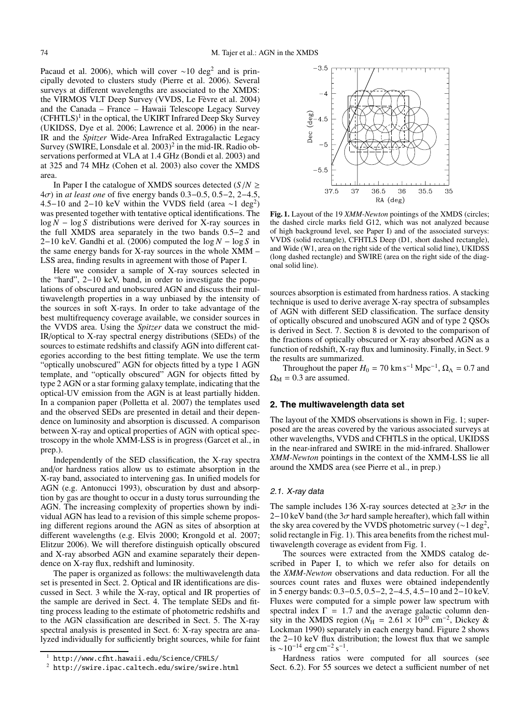Pacaud et al. 2006), which will cover  $\sim$ 10 deg<sup>2</sup> and is principally devoted to clusters study (Pierre et al. 2006). Several surveys at different wavelengths are associated to the XMDS: the VIRMOS VLT Deep Survey (VVDS, Le Fèvre et al. 2004) and the Canada - France - Hawaii Telescope Legacy Survey  $(CFHTLS)^1$  in the optical, the UKIRT Infrared Deep Sky Survey (UKIDSS, Dye et al. 2006; Lawrence et al. 2006) in the near-IR and the Spitzer Wide-Area InfraRed Extragalactic Legacy Survey (SWIRE, Lonsdale et al. 2003)<sup>2</sup> in the mid-IR. Radio observations performed at VLA at 1.4 GHz (Bondi et al. 2003) and at 325 and 74 MHz (Cohen et al. 2003) also cover the XMDS area.

In Paper I the catalogue of XMDS sources detected  $(S/N \geq$  $4\sigma$ ) in *at least one* of five energy bands 0.3–0.5, 0.5–2, 2–4.5, 4.5–10 and 2–10 keV within the VVDS field (area  $\sim$ 1 deg<sup>2</sup>) was presented together with tentative optical identifications. The  $\log N - \log S$  distributions were derived for X-ray sources in the full XMDS area separately in the two bands  $0.5-2$  and 2–10 keV. Gandhi et al. (2006) computed the  $\log N - \log S$  in the same energy bands for X-ray sources in the whole XMM -LSS area, finding results in agreement with those of Paper I.

Here we consider a sample of X-ray sources selected in the "hard",  $2-10$  keV, band, in order to investigate the populations of obscured and unobscured AGN and discuss their multiwavelength properties in a way unbiased by the intensity of the sources in soft X-rays. In order to take advantage of the best multifrequency coverage available, we consider sources in the VVDS area. Using the Spitzer data we construct the mid-IR/optical to X-ray spectral energy distributions (SEDs) of the sources to estimate redshifts and classify AGN into different categories according to the best fitting template. We use the term "optically unobscured" AGN for objects fitted by a type 1 AGN template, and "optically obscured" AGN for objects fitted by type 2 AGN or a star forming galaxy template, indicating that the optical-UV emission from the AGN is at least partially hidden. In a companion paper (Polletta et al. 2007) the templates used and the observed SEDs are presented in detail and their dependence on luminosity and absorption is discussed. A comparison between X-ray and optical properties of AGN with optical spectroscopy in the whole XMM-LSS is in progress (Garcet et al., in prep.).

Independently of the SED classification, the X-ray spectra and/or hardness ratios allow us to estimate absorption in the X-ray band, associated to intervening gas. In unified models for AGN (e.g. Antonucci 1993), obscuration by dust and absorption by gas are thought to occur in a dusty torus surrounding the AGN. The increasing complexity of properties shown by individual AGN has lead to a revision of this simple scheme proposing different regions around the AGN as sites of absorption at different wavelengths (e.g. Elvis 2000; Krongold et al. 2007; Elitzur 2006). We will therefore distinguish optically obscured and X-ray absorbed AGN and examine separately their dependence on X-ray flux, redshift and luminosity.

The paper is organized as follows: the multiwavelength data set is presented in Sect. 2. Optical and IR identifications are discussed in Sect. 3 while the X-ray, optical and IR properties of the sample are derived in Sect. 4. The template SEDs and fitting process leading to the estimate of photometric redshifts and to the AGN classification are described in Sect. 5. The X-ray spectral analysis is presented in Sect. 6: X-ray spectra are analyzed individually for sufficiently bright sources, while for faint



Fig. 1. Layout of the 19 XMM-Newton pointings of the XMDS (circles; the dashed circle marks field G12, which was not analyzed because of high background level, see Paper I) and of the associated surveys: VVDS (solid rectangle), CFHTLS Deep (D1, short dashed rectangle), and Wide (W1, area on the right side of the vertical solid line), UKIDSS (long dashed rectangle) and SWIRE (area on the right side of the diagonal solid line).

sources absorption is estimated from hardness ratios. A stacking technique is used to derive average X-ray spectra of subsamples of AGN with different SED classification. The surface density of optically obscured and unobscured AGN and of type 2 QSOs is derived in Sect. 7. Section 8 is devoted to the comparison of the fractions of optically obscured or X-ray absorbed AGN as a function of redshift, X-ray flux and luminosity. Finally, in Sect. 9 the results are summarized.

Throughout the paper  $H_0 = 70 \text{ km s}^{-1} \text{ Mpc}^{-1}$ ,  $\Omega_{\Lambda} = 0.7$  and  $\Omega_{\rm M} = 0.3$  are assumed.

## 2. The multiwavelength data set

The layout of the XMDS observations is shown in Fig. 1; superposed are the areas covered by the various associated surveys at other wavelengths, VVDS and CFHTLS in the optical, UKIDSS in the near-infrared and SWIRE in the mid-infrared. Shallower XMM-Newton pointings in the context of the XMM-LSS lie all around the XMDS area (see Pierre et al., in prep.)

## 2.1. X-ray data

The sample includes 136 X-ray sources detected at  $\geq 3\sigma$  in the  $2-10$  keV band (the  $3\sigma$  hard sample hereafter), which fall within the sky area covered by the VVDS photometric survey ( $\sim$ 1 deg<sup>2</sup>, solid rectangle in Fig. 1). This area benefits from the richest multiwavelength coverage as evident from Fig. 1.

The sources were extracted from the XMDS catalog described in Paper I, to which we refer also for details on the XMM-Newton observations and data reduction. For all the sources count rates and fluxes were obtained independently in 5 energy bands:  $0.3-0.5$ ,  $0.5-2$ ,  $2-4.5$ ,  $4.5-10$  and  $2-10$  keV. Fluxes were computed for a simple power law spectrum with spectral index  $\Gamma = 1.7$  and the average galactic column density in the XMDS region ( $N_H = 2.61 \times 10^{20}$  cm<sup>-2</sup>, Dickey & Lockman 1990) separately in each energy band. Figure 2 shows the  $2-10$  keV flux distribution; the lowest flux that we sample is  $\sim 10^{-14}$  erg cm<sup>-2</sup> s<sup>-1</sup>.

Hardness ratios were computed for all sources (see Sect. 6.2). For 55 sources we detect a sufficient number of net

http://www.cfht.hawaii.edu/Science/CFHLS/

<sup>&</sup>lt;sup>2</sup> http://swire.ipac.caltech.edu/swire/swire.html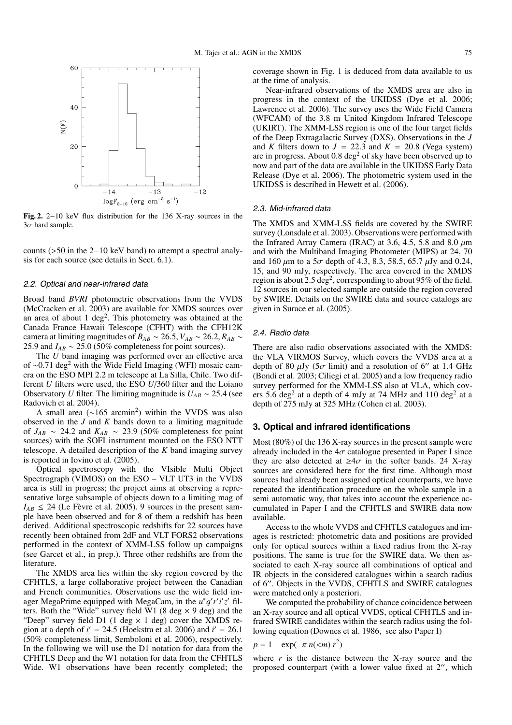

Fig. 2.  $2-10$  keV flux distribution for the 136 X-ray sources in the  $3\sigma$  hard sample.

counts  $(50$  in the 2–10 keV band) to attempt a spectral analysis for each source (see details in Sect. 6.1).

#### 2.2. Optical and near-infrared data

Broad band BVRI photometric observations from the VVDS (McCracken et al. 2003) are available for XMDS sources over an area of about 1 deg<sup>2</sup>. This photometry was obtained at the<br>Canada France Hawaii Telescope (CFHT) with the CFH12K camera at limiting magnitudes of  $B_{AB} \sim 26.5$ ,  $V_{AB} \sim 26.2$ ,  $R_{AB} \sim$ 25.9 and  $I_{AB} \sim 25.0$  (50% completeness for point sources).

The U band imaging was performed over an effective area of  $\sim$ 0.71 deg<sup>2</sup> with the Wide Field Imaging (WFI) mosaic camera on the ESO MPI 2.2 m telescope at La Silla, Chile. Two different U filters were used, the ESO  $U/360$  filter and the Loiano Observatory U filter. The limiting magnitude is  $U_{AB} \sim 25.4$  (see Radovich et al. 2004).

A small area  $({\sim}165$  arcmin<sup>2</sup>) within the VVDS was also observed in the  $J$  and  $K$  bands down to a limiting magnitude of  $J_{AB} \sim 24.2$  and  $K_{AB} \sim 23.9$  (50% completeness for point sources) with the SOFI instrument mounted on the ESO NTT telescope. A detailed description of the  $K$  band imaging survey is reported in Iovino et al. (2005).

Optical spectroscopy with the VIsible Multi Object Spectrograph (VIMOS) on the ESO – VLT UT3 in the VVDS area is still in progress; the project aims at observing a representative large subsample of objects down to a limiting mag of  $I_{AB} \leq 24$  (Le Fèvre et al. 2005). 9 sources in the present sample have been observed and for 8 of them a redshift has been derived. Additional spectroscopic redshifts for 22 sources have recently been obtained from 2dF and VLT FORS2 observations performed in the context of XMM-LSS follow up campaigns (see Garcet et al., in prep.). Three other redshifts are from the literature.

The XMDS area lies within the sky region covered by the CFHTLS, a large collaborative project between the Canadian and French communities. Observations use the wide field imager MegaPrime equipped with MegaCam, in the  $u^*q'r'i'z'$  filters. Both the "Wide" survey field W1 (8 deg  $\times$  9 deg) and the "Deep" survey field D1 (1 deg  $\times$  1 deg) cover the XMDS region at a depth of  $i' = 24.5$  (Hoekstra et al. 2006) and  $i' = 26.1$ (50% completeness limit, Semboloni et al. 2006), respectively. In the following we will use the D1 notation for data from the CFHTLS Deep and the W1 notation for data from the CFHTLS Wide. W1 observations have been recently completed; the coverage shown in Fig. 1 is deduced from data available to us at the time of analysis.

Near-infrared observations of the XMDS area are also in progress in the context of the UKIDSS (Dye et al. 2006; Lawrence et al. 2006). The survey uses the Wide Field Camera (WFCAM) of the 3.8 m United Kingdom Infrared Telescope (UKIRT). The XMM-LSS region is one of the four target fields of the Deep Extragalactic Survey (DXS). Observations in the  $J$ and K filters down to  $J = 22.3$  and  $K = 20.8$  (Vega system) are in progress. About 0.8  $\text{deg}^2$  of sky have been observed up to now and part of the data are available in the UKIDSS Early Data Release (Dye et al. 2006). The photometric system used in the UKIDSS is described in Hewett et al. (2006).

#### 2.3. Mid-infrared data

The XMDS and XMM-LSS fields are covered by the SWIRE survey (Lonsdale et al. 2003). Observations were performed with the Infrared Array Camera (IRAC) at 3.6, 4.5, 5.8 and 8.0  $\mu$ m and with the Multiband Imaging Photometer (MIPS) at 24, 70 and 160  $\mu$ m to a 5 $\sigma$  depth of 4.3, 8.3, 58.5, 65.7  $\mu$ Jy and 0.24, 15, and 90 mJy, respectively. The area covered in the XMDS region is about 2.5  $\text{deg}^2$ , corresponding to about 95% of the field. 12 sources in our selected sample are outside the region covered by SWIRE. Details on the SWIRE data and source catalogs are given in Surace et al. (2005).

## 2.4. Radio data

There are also radio observations associated with the XMDS: the VLA VIRMOS Survey, which covers the VVDS area at a depth of 80  $\mu$ Jy (5 $\sigma$  limit) and a resolution of 6" at 1.4 GHz (Bondi et al. 2003; Ciliegi et al. 2005) and a low frequency radio survey performed for the XMM-LSS also at VLA, which covers 5.6  $deg<sup>2</sup>$  at a depth of 4 mJy at 74 MHz and 110  $deg<sup>2</sup>$  at a depth of 275 mJy at 325 MHz (Cohen et al. 2003).

## 3. Optical and infrared identifications

Most  $(80\%)$  of the 136 X-ray sources in the present sample were already included in the  $4\sigma$  catalogue presented in Paper I since they are also detected at  $\geq 4\sigma$  in the softer bands. 24 X-ray sources are considered here for the first time. Although most sources had already been assigned optical counterparts, we have repeated the identification procedure on the whole sample in a semi automatic way, that takes into account the experience accumulated in Paper I and the CFHTLS and SWIRE data now available

Access to the whole VVDS and CFHTLS catalogues and images is restricted: photometric data and positions are provided only for optical sources within a fixed radius from the X-ray positions. The same is true for the SWIRE data. We then associated to each X-ray source all combinations of optical and IR objects in the considered catalogues within a search radius of 6". Objects in the VVDS, CFHTLS and SWIRE catalogues were matched only a posteriori.

We computed the probability of chance coincidence between an X-ray source and all optical VVDS, optical CFHTLS and infrared SWIRE candidates within the search radius using the following equation (Downes et al. 1986, see also Paper I)

$$
p = 1 - \exp(-\pi n(\langle m) r^2)
$$

where  $r$  is the distance between the X-ray source and the proposed counterpart (with a lower value fixed at 2", which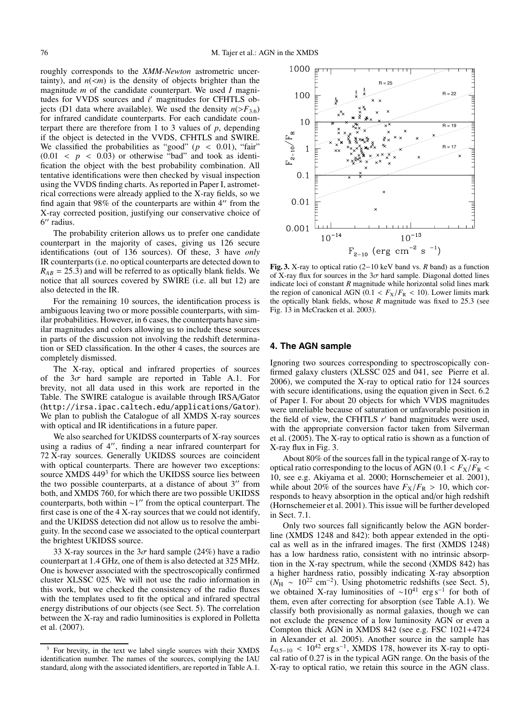roughly corresponds to the XMM-Newton astrometric uncertainty), and  $n(*m*)$  is the density of objects brighter than the magnitude  $m$  of the candidate counterpart. We used  $I$  magnitudes for VVDS sources and i' magnitudes for CFHTLS objects (D1 data where available). We used the density  $n(>F_{3,6})$ for infrared candidate counterparts. For each candidate counterpart there are therefore from 1 to 3 values of  $p$ , depending if the object is detected in the VVDS, CFHTLS and SWIRE. We classified the probabilities as "good" ( $p < 0.01$ ), "fair"  $(0.01 < p < 0.03)$  or otherwise "bad" and took as identification the object with the best probability combination. All tentative identifications were then checked by visual inspection using the VVDS finding charts. As reported in Paper I, astrometrical corrections were already applied to the X-ray fields, so we find again that 98% of the counterparts are within 4" from the X-ray corrected position, justifying our conservative choice of 6" radius.

The probability criterion allows us to prefer one candidate counterpart in the majority of cases, giving us 126 secure identifications (out of 136 sources). Of these, 3 have only IR counterparts (i.e. no optical counterparts are detected down to  $R_{AB}$  = 25.3) and will be referred to as optically blank fields. We notice that all sources covered by SWIRE (i.e. all but 12) are also detected in the IR.

For the remaining 10 sources, the identification process is ambiguous leaving two or more possible counterparts, with similar probabilities. However, in 6 cases, the counterparts have similar magnitudes and colors allowing us to include these sources in parts of the discussion not involving the redshift determination or SED classification. In the other 4 cases, the sources are completely dismissed.

The X-ray, optical and infrared properties of sources of the  $3\sigma$  hard sample are reported in Table A.1. For brevity, not all data used in this work are reported in the Table. The SWIRE catalogue is available through IRSA/Gator (http://irsa.ipac.caltech.edu/applications/Gator). We plan to publish the Catalogue of all XMDS X-ray sources with optical and IR identifications in a future paper.

We also searched for UKIDSS counterparts of X-ray sources using a radius of 4", finding a near infrared counterpart for 72 X-ray sources. Generally UKIDSS sources are coincident with optical counterparts. There are however two exceptions: source XMDS 449<sup>3</sup> for which the UKIDSS source lies between the two possible counterparts, at a distance of about 3" from both, and XMDS 760, for which there are two possible UKIDSS counterparts, both within  $\sim$ 1" from the optical counterpart. The first case is one of the 4 X-ray sources that we could not identify, and the UKIDSS detection did not allow us to resolve the ambiguity. In the second case we associated to the optical counterpart the brightest UKIDSS source.

33 X-ray sources in the  $3\sigma$  hard sample (24%) have a radio counterpart at 1.4 GHz, one of them is also detected at 325 MHz. One is however associated with the spectroscopically confirmed cluster XLSSC 025. We will not use the radio information in this work, but we checked the consistency of the radio fluxes with the templates used to fit the optical and infrared spectral energy distributions of our objects (see Sect. 5). The correlation between the X-ray and radio luminosities is explored in Polletta et al. (2007).



Fig. 3. X-ray to optical ratio  $(2-10 \text{ keV}$  band vs. R band) as a function of X-ray flux for sources in the  $3\sigma$  hard sample. Diagonal dotted lines indicate loci of constant  $R$  magnitude while horizontal solid lines mark the region of canonical AGN (0.1 <  $F_X/F_R$  < 10). Lower limits mark the optically blank fields, whose  $R$  magnitude was fixed to 25.3 (see Fig. 13 in McCracken et al. 2003).

## 4. The AGN sample

Ignoring two sources corresponding to spectroscopically confirmed galaxy clusters (XLSSC 025 and 041, see Pierre et al. 2006), we computed the X-ray to optical ratio for 124 sources with secure identifications, using the equation given in Sect. 6.2 of Paper I. For about 20 objects for which VVDS magnitudes were unreliable because of saturation or unfavorable position in the field of view, the CFHTLS  $r'$  band magnitudes were used, with the appropriate conversion factor taken from Silverman et al. (2005). The X-ray to optical ratio is shown as a function of X-ray flux in Fig. 3.

About 80% of the sources fall in the typical range of X-ray to optical ratio corresponding to the locus of AGN (0.1  $\lt F_X/F_R \lt$ 10, see e.g. Akiyama et al. 2000; Hornschemeier et al. 2001), while about 20% of the sources have  $F_X/F_R > 10$ , which corresponds to heavy absorption in the optical and/or high redshift (Hornschemeier et al. 2001). This issue will be further developed in Sect. 7.1.

Only two sources fall significantly below the AGN borderline (XMDS 1248 and 842): both appear extended in the optical as well as in the infrared images. The first (XMDS 1248) has a low hardness ratio, consistent with no intrinsic absorption in the X-ray spectrum, while the second (XMDS 842) has a higher hardness ratio, possibly indicating X-ray absorption  $(N_H \sim 10^{22} \text{ cm}^{-2})$ . Using photometric redshifts (see Sect. 5), we obtained X-ray luminosities of  $\sim 10^{41}$  erg s<sup>-1</sup> for both of them, even after correcting for absorption (see Table A.1). We classify both provisionally as normal galaxies, though we can not exclude the presence of a low luminosity AGN or even a Compton thick AGN in XMDS 842 (see e.g. FSC 1021+4724 in Alexander et al. 2005). Another source in the sample has  $L_{0.5-10}$  < 10<sup>42</sup> erg s<sup>-1</sup>, XMDS 178, however its X-ray to optical ratio of 0.27 is in the typical AGN range. On the basis of the X-ray to optical ratio, we retain this source in the AGN class.

 $\overline{\mathbf{3}}$ For brevity, in the text we label single sources with their XMDS identification number. The names of the sources, complying the IAU standard, along with the associated identifiers, are reported in Table A.1.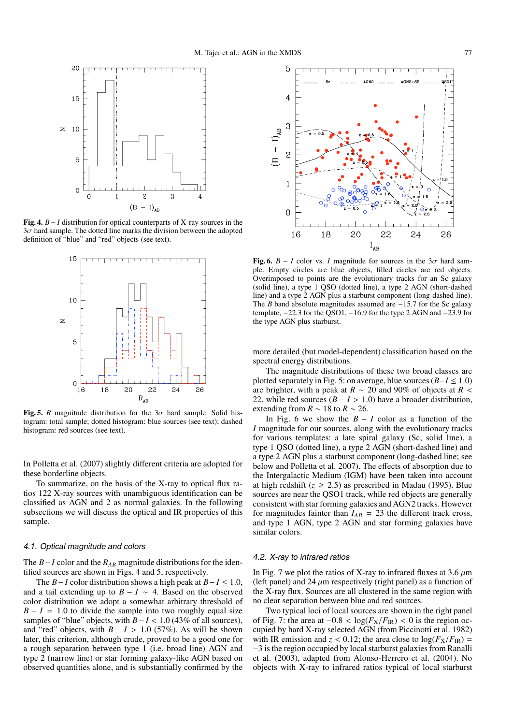

Fig. 4.  $B - I$  distribution for optical counterparts of X-ray sources in the  $3\sigma$  hard sample. The dotted line marks the division between the adopted definition of "blue" and "red" objects (see text).



Fig. 5. R magnitude distribution for the  $3\sigma$  hard sample. Solid histogram: total sample; dotted histogram: blue sources (see text); dashed histogram: red sources (see text).

In Polletta et al. (2007) slightly different criteria are adopted for these borderline objects.

To summarize, on the basis of the X-ray to optical flux ratios 122 X-ray sources with unambiguous identification can be classified as AGN and 2 as normal galaxies. In the following subsections we will discuss the optical and IR properties of this sample.

## 4.1. Optical magnitude and colors

The  $B-I$  color and the  $R_{AB}$  magnitude distributions for the identified sources are shown in Figs. 4 and 5, respectively.

The  $B-I$  color distribution shows a high peak at  $B-I \le 1.0$ , and a tail extending up to  $B - I \sim 4$ . Based on the observed color distribution we adopt a somewhat arbitrary threshold of  $B - I = 1.0$  to divide the sample into two roughly equal size samples of "blue" objects, with  $B - I < 1.0$  (43% of all sources), and "red" objects, with  $B - I > 1.0$  (57%). As will be shown later, this criterion, although crude, proved to be a good one for a rough separation between type 1 (i.e. broad line) AGN and type 2 (narrow line) or star forming galaxy-like AGN based on observed quantities alone, and is substantially confirmed by the



Fig. 6.  $B - I$  color vs. I magnitude for sources in the  $3\sigma$  hard sample. Empty circles are blue objects, filled circles are red objects. Overimposed to points are the evolutionary tracks for an Sc galaxy (solid line), a type 1 QSO (dotted line), a type 2 AGN (short-dashed line) and a type 2 AGN plus a starburst component (long-dashed line). The *B* band absolute magnitudes assumed are  $-15.7$  for the Sc galaxy template,  $-22.3$  for the QSO1,  $-16.9$  for the type 2 AGN and  $-23.9$  for the type AGN plus starburst.

more detailed (but model-dependent) classification based on the spectral energy distributions.

The magnitude distributions of these two broad classes are plotted separately in Fig. 5: on average, blue sources ( $B-I \le 1.0$ ) are brighter, with a peak at  $R \sim 20$  and 90% of objects at  $R \leq$ 22, while red sources  $(B - I > 1.0)$  have a broader distribution, extending from  $R \sim 18$  to  $R \sim 26$ .

In Fig. 6 we show the  $B - I$  color as a function of the I magnitude for our sources, along with the evolutionary tracks for various templates: a late spiral galaxy (Sc, solid line), a type 1 QSO (dotted line), a type 2 AGN (short-dashed line) and a type 2 AGN plus a starburst component (long-dashed line; see below and Polletta et al. 2007). The effects of absorption due to the Intergalactic Medium (IGM) have been taken into account at high redshift ( $z \ge 2.5$ ) as prescribed in Madau (1995). Blue sources are near the QSO1 track, while red objects are generally consistent with star forming galaxies and AGN2 tracks. However for magnitudes fainter than  $I_{AB} = 23$  the different track cross, and type 1 AGN, type 2 AGN and star forming galaxies have similar colors.

## 4.2. X-ray to infrared ratios

In Fig. 7 we plot the ratios of X-ray to infrared fluxes at 3.6  $\mu$ m (left panel) and 24  $\mu$ m respectively (right panel) as a function of the X-ray flux. Sources are all clustered in the same region with no clear separation between blue and red sources.

Two typical loci of local sources are shown in the right panel of Fig. 7: the area at  $-0.8 < log(F_X/F_{IR}) < 0$  is the region occupied by hard X-ray selected AGN (from Piccinotti et al. 1982) with IR emission and  $z < 0.12$ ; the area close to  $log(F_X/F_{IR})$  =  $-3$  is the region occupied by local starburst galaxies from Ranalli et al. (2003), adapted from Alonso-Herrero et al. (2004). No objects with X-ray to infrared ratios typical of local starburst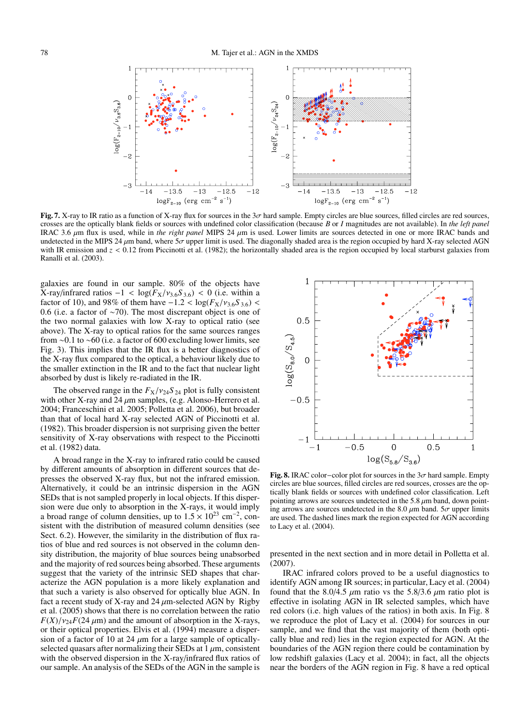

Fig. 7. X-ray to IR ratio as a function of X-ray flux for sources in the  $3\sigma$  hard sample. Empty circles are blue sources, filled circles are red sources, crosses are the optically blank fields or sources with undefined color classification (because B or I magnitudes are not available). In the left panel IRAC 3.6  $\mu$ m flux is used, while in the right panel MIPS 24  $\mu$ m is used. Lower limits are sources detected in one or more IRAC bands and undetected in the MIPS 24  $\mu$ m band, where 5 $\sigma$  upper limit is used. The diagonally shaded area is the region occupied by hard X-ray selected AGN with IR emission and  $z < 0.12$  from Piccinotti et al. (1982); the horizontally shaded area is the region occupied by local starburst galaxies from Ranalli et al. (2003).

galaxies are found in our sample. 80% of the objects have X-ray/infrared ratios  $-1 < log(F_X/\nu_{3.6}S_{3.6}) < 0$  (i.e. within a factor of 10), and 98% of them have  $-1.2 < log(F_X/v_{3.6}S_{3.6})$  < 0.6 (i.e. a factor of  $\sim$ 70). The most discrepant object is one of the two normal galaxies with low X-ray to optical ratio (see above). The X-ray to optical ratios for the same sources ranges from  $\sim 0.1$  to  $\sim 60$  (i.e. a factor of 600 excluding lower limits, see Fig. 3). This implies that the IR flux is a better diagnostics of the X-ray flux compared to the optical, a behaviour likely due to the smaller extinction in the IR and to the fact that nuclear light absorbed by dust is likely re-radiated in the IR.

The observed range in the  $F_X/v_{24}S_{24}$  plot is fully consistent with other X-ray and 24  $\mu$ m samples, (e.g. Alonso-Herrero et al. 2004; Franceschini et al. 2005; Polletta et al. 2006), but broader than that of local hard X-ray selected AGN of Piccinotti et al. (1982). This broader dispersion is not surprising given the better sensitivity of X-ray observations with respect to the Piccinotti et al. (1982) data.

A broad range in the X-ray to infrared ratio could be caused by different amounts of absorption in different sources that depresses the observed X-ray flux, but not the infrared emission. Alternatively, it could be an intrinsic dispersion in the AGN SEDs that is not sampled properly in local objects. If this dispersion were due only to absorption in the X-rays, it would imply a broad range of column densities, up to  $1.5 \times 10^{23}$  cm<sup>-2</sup>, consistent with the distribution of measured column densities (see Sect. 6.2). However, the similarity in the distribution of flux ratios of blue and red sources is not observed in the column density distribution, the majority of blue sources being unabsorbed and the majority of red sources being absorbed. These arguments suggest that the variety of the intrinsic SED shapes that characterize the AGN population is a more likely explanation and that such a variety is also observed for optically blue AGN. In fact a recent study of X-ray and 24  $\mu$ m-selected AGN by Rigby et al. (2005) shows that there is no correlation between the ratio  $F(X)/\nu_{24}F(24 \mu m)$  and the amount of absorption in the X-rays, or their optical properties. Elvis et al. (1994) measure a dispersion of a factor of 10 at 24  $\mu$ m for a large sample of opticallyselected quasars after normalizing their SEDs at  $1 \mu m$ , consistent with the observed dispersion in the X-ray/infrared flux ratios of our sample. An analysis of the SEDs of the AGN in the sample is



Fig. 8. IRAC color-color plot for sources in the  $3\sigma$  hard sample. Empty circles are blue sources, filled circles are red sources, crosses are the optically blank fields or sources with undefined color classification. Left pointing arrows are sources undetected in the 5.8  $\mu$ m band, down pointing arrows are sources undetected in the 8.0  $\mu$ m band. 5 $\sigma$  upper limits are used. The dashed lines mark the region expected for AGN according to Lacy et al. (2004).

presented in the next section and in more detail in Polletta et al.  $(2007).$ 

IRAC infrared colors proved to be a useful diagnostics to identify AGN among IR sources; in particular, Lacy et al. (2004) found that the 8.0/4.5  $\mu$ m ratio vs the 5.8/3.6  $\mu$ m ratio plot is effective in isolating AGN in IR selected samples, which have red colors (i.e. high values of the ratios) in both axis. In Fig. 8 we reproduce the plot of Lacy et al. (2004) for sources in our sample, and we find that the vast majority of them (both optically blue and red) lies in the region expected for AGN. At the boundaries of the AGN region there could be contamination by low redshift galaxies (Lacy et al. 2004); in fact, all the objects near the borders of the AGN region in Fig. 8 have a red optical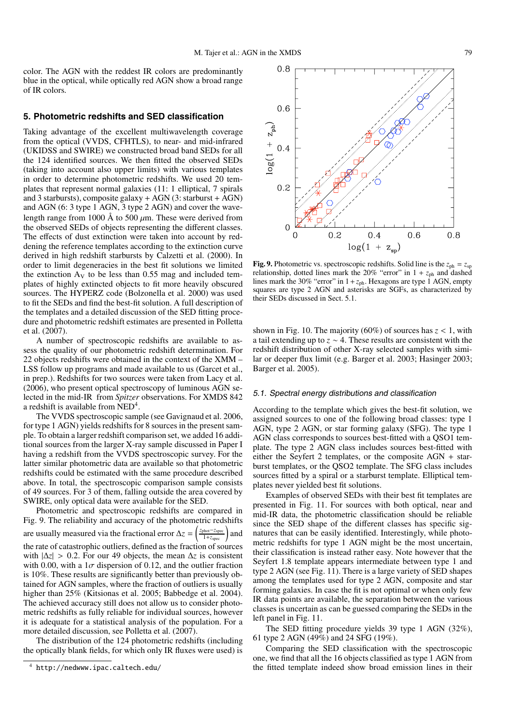color. The AGN with the reddest IR colors are predominantly blue in the optical, while optically red AGN show a broad range of IR colors.

## 5. Photometric redshifts and SED classification

Taking advantage of the excellent multiwavelength coverage from the optical (VVDS, CFHTLS), to near- and mid-infrared (UKIDSS and SWIRE) we constructed broad band SEDs for all the 124 identified sources. We then fitted the observed SEDs (taking into account also upper limits) with various templates in order to determine photometric redshifts. We used 20 templates that represent normal galaxies (11: 1 elliptical, 7 spirals and 3 starbursts), composite galaxy + AGN  $(3:$  starburst + AGN) and AGN (6: 3 type 1 AGN, 3 type 2 AGN) and cover the wavelength range from 1000 Å to 500  $\mu$ m. These were derived from the observed SEDs of objects representing the different classes. The effects of dust extinction were taken into account by reddening the reference templates according to the extinction curve derived in high redshift starbursts by Calzetti et al. (2000). In order to limit degeneracies in the best fit solutions we limited the extinction  $A_V$  to be less than 0.55 mag and included templates of highly extincted objects to fit more heavily obscured sources. The HYPERZ code (Bolzonella et al. 2000) was used to fit the SEDs and find the best-fit solution. A full description of the templates and a detailed discussion of the SED fitting procedure and photometric redshift estimates are presented in Polletta et al. (2007).

A number of spectroscopic redshifts are available to assess the quality of our photometric redshift determination. For 22 objects redshifts were obtained in the context of the XMM – LSS follow up programs and made available to us (Garcet et al., in prep.). Redshifts for two sources were taken from Lacy et al. (2006), who present optical spectroscopy of luminous AGN selected in the mid-IR from Spitzer observations. For XMDS 842 a redshift is available from NED<sup>4</sup>.

The VVDS spectroscopic sample (see Gavignaud et al. 2006, for type 1 AGN) yields redshifts for 8 sources in the present sample. To obtain a larger redshift comparison set, we added 16 additional sources from the larger X-ray sample discussed in Paper I having a redshift from the VVDS spectroscopic survey. For the latter similar photometric data are available so that photometric redshifts could be estimated with the same procedure described above. In total, the spectroscopic comparison sample consists of 49 sources. For 3 of them, falling outside the area covered by SWIRE, only optical data were available for the SED.

Photometric and spectroscopic redshifts are compared in Fig. 9. The reliability and accuracy of the photometric redshifts are usually measured via the fractional error  $\Delta z = \left(\frac{z_{\text{phot}} - z_{\text{spec}}}{1 + z_{\text{spec}}}\right)$  and the rate of catastrophic outliers, defined as the fraction of sources with  $|\Delta z| > 0.2$ . For our 49 objects, the mean  $\Delta z$  is consistent with 0.00, with a  $1\sigma$  dispersion of 0.12, and the outlier fraction is 10%. These results are significantly better than previously obtained for AGN samples, where the fraction of outliers is usually higher than 25% (Kitsionas et al. 2005; Babbedge et al. 2004). The achieved accuracy still does not allow us to consider photometric redshifts as fully reliable for individual sources, however it is adequate for a statistical analysis of the population. For a more detailed discussion, see Polletta et al. (2007).

The distribution of the 124 photometric redshifts (including the optically blank fields, for which only IR fluxes were used) is



**Fig. 9.** Photometric vs. spectroscopic redshifts. Solid line is the  $z_{ph} = z_{sp}$ relationship, dotted lines mark the 20% "error" in  $1 + z_{\text{nh}}$  and dashed lines mark the 30% "error" in  $1 + z_{ph}$ . Hexagons are type 1 AGN, empty squares are type 2 AGN and asterisks are SGFs, as characterized by their SEDs discussed in Sect. 5.1.

shown in Fig. 10. The majority (60%) of sources has  $z < 1$ , with a tail extending up to  $z \sim 4$ . These results are consistent with the redshift distribution of other X-ray selected samples with similar or deeper flux limit (e.g. Barger et al. 2003; Hasinger 2003; Barger et al. 2005).

## 5.1. Spectral energy distributions and classification

According to the template which gives the best-fit solution, we assigned sources to one of the following broad classes: type 1 AGN, type 2 AGN, or star forming galaxy (SFG). The type 1 AGN class corresponds to sources best-fitted with a QSO1 template. The type 2 AGN class includes sources best-fitted with either the Seyfert 2 templates, or the composite  $AGN + star$ burst templates, or the QSO2 template. The SFG class includes sources fitted by a spiral or a starburst template. Elliptical templates never yielded best fit solutions.

Examples of observed SEDs with their best fit templates are presented in Fig. 11. For sources with both optical, near and mid-IR data, the photometric classification should be reliable since the SED shape of the different classes has specific signatures that can be easily identified. Interestingly, while photometric redshifts for type 1 AGN might be the most uncertain, their classification is instead rather easy. Note however that the Seyfert 1.8 template appears intermediate between type 1 and type 2 AGN (see Fig. 11). There is a large variety of SED shapes among the templates used for type 2 AGN, composite and star forming galaxies. In case the fit is not optimal or when only few IR data points are available, the separation between the various classes is uncertain as can be guessed comparing the SEDs in the left panel in Fig. 11.

The SED fitting procedure yields 39 type 1 AGN  $(32\%)$ , 61 type 2 AGN (49%) and 24 SFG (19%).

Comparing the SED classification with the spectroscopic one, we find that all the 16 objects classified as type 1 AGN from the fitted template indeed show broad emission lines in their

http://nedwww.ipac.caltech.edu/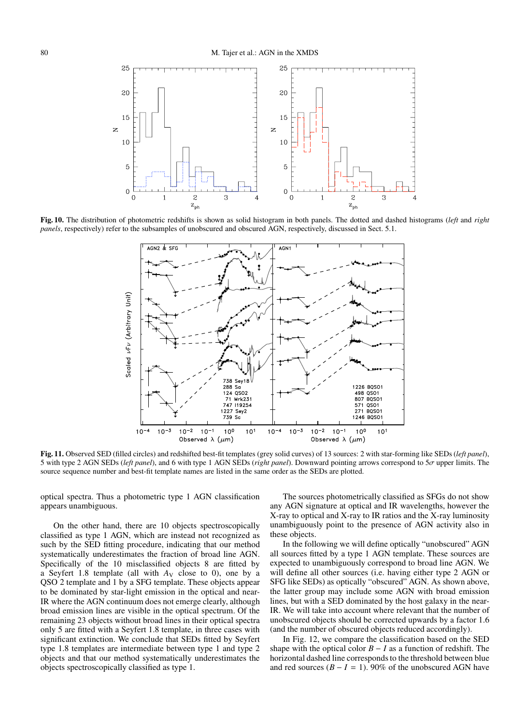

Fig. 10. The distribution of photometric redshifts is shown as solid histogram in both panels. The dotted and dashed histograms (left and right panels, respectively) refer to the subsamples of unobscured and obscured AGN, respectively, discussed in Sect. 5.1.



Fig. 11. Observed SED (filled circles) and redshifted best-fit templates (grey solid curves) of 13 sources: 2 with star-forming like SEDs (left panel), 5 with type 2 AGN SEDs (left panel), and 6 with type 1 AGN SEDs (right panel). Downward pointing arrows correspond to  $5\sigma$  upper limits. The source sequence number and best-fit template names are listed in the same order as the SEDs are plotted.

optical spectra. Thus a photometric type 1 AGN classification appears unambiguous.

On the other hand, there are 10 objects spectroscopically classified as type 1 AGN, which are instead not recognized as such by the SED fitting procedure, indicating that our method systematically underestimates the fraction of broad line AGN. Specifically of the 10 misclassified objects 8 are fitted by a Seyfert 1.8 template (all with  $A_V$  close to 0), one by a QSO 2 template and 1 by a SFG template. These objects appear to be dominated by star-light emission in the optical and near-IR where the AGN continuum does not emerge clearly, although broad emission lines are visible in the optical spectrum. Of the remaining 23 objects without broad lines in their optical spectra only 5 are fitted with a Seyfert 1.8 template, in three cases with significant extinction. We conclude that SEDs fitted by Seyfert type 1.8 templates are intermediate between type 1 and type 2 objects and that our method systematically underestimates the objects spectroscopically classified as type 1.

The sources photometrically classified as SFGs do not show any AGN signature at optical and IR wavelengths, however the X-ray to optical and X-ray to IR ratios and the X-ray luminosity unambiguously point to the presence of AGN activity also in these objects.

In the following we will define optically "unobscured" AGN all sources fitted by a type 1 AGN template. These sources are expected to unambiguously correspond to broad line AGN. We will define all other sources (i.e. having either type 2 AGN or SFG like SEDs) as optically "obscured" AGN. As shown above, the latter group may include some AGN with broad emission lines, but with a SED dominated by the host galaxy in the near-IR. We will take into account where relevant that the number of unobscured objects should be corrected upwards by a factor 1.6 (and the number of obscured objects reduced accordingly).

In Fig. 12, we compare the classification based on the SED shape with the optical color  $B - I$  as a function of redshift. The horizontal dashed line corresponds to the threshold between blue and red sources  $(B - I = 1)$ . 90% of the unobscured AGN have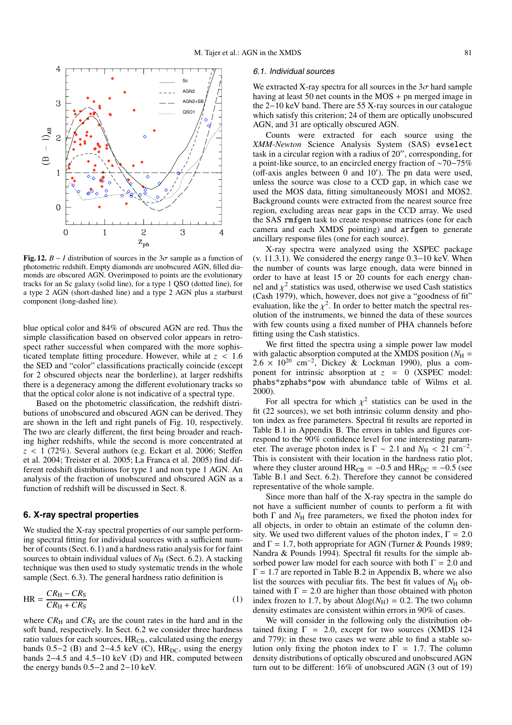

Fig. 12.  $B - I$  distribution of sources in the  $3\sigma$  sample as a function of photometric redshift. Empty diamonds are unobscured AGN, filled diamonds are obscured AGN. Overimposed to points are the evolutionary tracks for an Sc galaxy (solid line), for a type 1 QSO (dotted line), for a type 2 AGN (short-dashed line) and a type 2 AGN plus a starburst component (long-dashed line).

blue optical color and 84% of obscured AGN are red. Thus the simple classification based on observed color appears in retrospect rather successful when compared with the more sophisticated template fitting procedure. However, while at  $z < 1.6$ the SED and "color" classifications practically coincide (except for 2 obscured objects near the borderline), at larger redshifts there is a degeneracy among the different evolutionary tracks so that the optical color alone is not indicative of a spectral type.

Based on the photometric classification, the redshift distributions of unobscured and obscured AGN can be derived. They are shown in the left and right panels of Fig. 10, respectively. The two are clearly different, the first being broader and reaching higher redshifts, while the second is more concentrated at  $z < 1$  (72%). Several authors (e.g. Eckart et al. 2006; Steffen et al. 2004; Treister et al. 2005; La Franca et al. 2005) find different redshift distributions for type 1 and non type 1 AGN. An analysis of the fraction of unobscured and obscured AGN as a function of redshift will be discussed in Sect. 8.

## 6. X-ray spectral properties

We studied the X-ray spectral properties of our sample performing spectral fitting for individual sources with a sufficient number of counts (Sect. 6.1) and a hardness ratio analysis for for faint sources to obtain individual values of  $N_H$  (Sect. 6.2). A stacking technique was then used to study systematic trends in the whole sample (Sect. 6.3). The general hardness ratio definition is

$$
HR = \frac{CR_{H} - CR_{S}}{CR_{H} + CR_{S}}
$$
\n<sup>(1)</sup>

where  $CR_H$  and  $CR_S$  are the count rates in the hard and in the soft band, respectively. In Sect. 6.2 we consider three hardness ratio values for each sources, HR<sub>CB</sub>, calculated using the energy bands  $0.5-2$  (B) and  $2-4.5$  keV (C), HR<sub>DC</sub>, using the energy bands  $2-4.5$  and  $4.5-10$  keV (D) and HR, computed between the energy bands  $0.5-2$  and  $2-10$  keV.

#### 6.1. Individual sources

We extracted X-ray spectra for all sources in the  $3\sigma$  hard sample having at least 50 net counts in the  $MOS + pn$  merged image in the  $2-10$  keV band. There are 55 X-ray sources in our catalogue which satisfy this criterion; 24 of them are optically unobscured AGN, and 31 are optically obscured AGN.

Counts were extracted for each source using the XMM-Newton Science Analysis System (SAS) evselect task in a circular region with a radius of 20", corresponding, for a point-like source, to an encircled energy fraction of  $\sim 70-75\%$ (off-axis angles between  $0$  and  $10'$ ). The pn data were used, unless the source was close to a CCD gap, in which case we used the MOS data, fitting simultaneously MOS1 and MOS2. Background counts were extracted from the nearest source free region, excluding areas near gaps in the CCD array. We used the SAS rmfgen task to create response matrices (one for each camera and each XMDS pointing) and arfgen to generate ancillary response files (one for each source).

X-ray spectra were analyzed using the XSPEC package  $(v. 11.3.1)$ . We considered the energy range  $0.3-10$  keV. When the number of counts was large enough, data were binned in order to have at least 15 or 20 counts for each energy channel and  $\chi^2$  statistics was used, otherwise we used Cash statistics (Cash 1979), which, however, does not give a "goodness of fit" evaluation, like the  $\chi^2$ . In order to better match the spectral resolution of the instruments, we binned the data of these sources with few counts using a fixed number of PHA channels before fitting using the Cash statistics.

We first fitted the spectra using a simple power law model with galactic absorption computed at the XMDS position ( $N_{\rm H}$  =  $2.6 \times 10^{20}$  cm<sup>-2</sup>, Dickey & Lockman 1990), plus a component for intrinsic absorption at  $z = 0$  (XSPEC model: phabs\*zphabs\*pow with abundance table of Wilms et al. 2000).

For all spectra for which  $\chi^2$  statistics can be used in the fit (22 sources), we set both intrinsic column density and photon index as free parameters. Spectral fit results are reported in Table B.1 in Appendix B. The errors in tables and figures correspond to the 90% confidence level for one interesting parameter. The average photon index is  $\Gamma \sim 2.1$  and  $N_{\rm H} < 21$  cm<sup>-2</sup>. This is consistent with their location in the hardness ratio plot, where they cluster around  $HR_{CB} = -0.5$  and  $HR_{DC} = -0.5$  (see Table B.1 and Sect. 6.2). Therefore they cannot be considered representative of the whole sample.

Since more than half of the X-ray spectra in the sample do not have a sufficient number of counts to perform a fit with both  $\Gamma$  and  $N_{\rm H}$  free parameters, we fixed the photon index for all objects, in order to obtain an estimate of the column density. We used two different values of the photon index,  $\Gamma = 2.0$ and  $\Gamma = 1.7$ , both appropriate for AGN (Turner & Pounds 1989; Nandra & Pounds 1994). Spectral fit results for the simple absorbed power law model for each source with both  $\Gamma = 2.0$  and  $\Gamma = 1.7$  are reported in Table B.2 in Appendix B, where we also list the sources with peculiar fits. The best fit values of  $N_H$  obtained with  $\Gamma = 2.0$  are higher than those obtained with photon index frozen to 1.7, by about  $\Delta \log(N_H) = 0.2$ . The two column density estimates are consistent within errors in 90% of cases.

We will consider in the following only the distribution obtained fixing  $\Gamma = 2.0$ , except for two sources (XMDS 124) and 779): in these two cases we were able to find a stable solution only fixing the photon index to  $\Gamma = 1.7$ . The column density distributions of optically obscured and unobscured AGN turn out to be different: 16% of unobscured AGN (3 out of 19)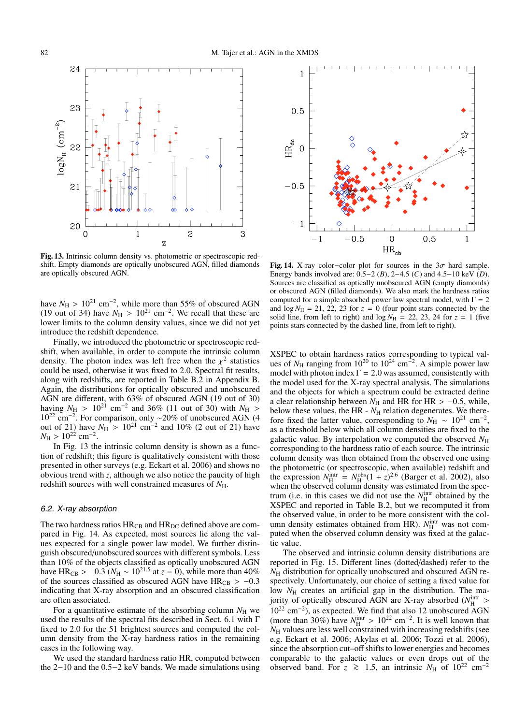

Fig. 13. Intrinsic column density vs. photometric or spectroscopic redshift. Empty diamonds are optically unobscured AGN, filled diamonds are optically obscured AGN.

have  $N_{\rm H} > 10^{21}$  cm<sup>-2</sup>, while more than 55% of obscured AGN (19 out of 34) have  $N_{\rm H} > 10^{21}$  cm<sup>-2</sup>. We recall that these are lower limits to the column density values, since we did not yet introduce the redshift dependence.

Finally, we introduced the photometric or spectroscopic redshift, when available, in order to compute the intrinsic column density. The photon index was left free when the  $\chi^2$  statistics could be used, otherwise it was fixed to 2.0. Spectral fit results, along with redshifts, are reported in Table B.2 in Appendix B. Again, the distributions for optically obscured and unobscured AGN are different, with 63% of obscured AGN (19 out of 30) having  $N_H > 10^{21}$  cm<sup>-2</sup> and 36% (11 out of 30) with  $N_H > 10^{22}$  cm<sup>-2</sup>. For comparison, only ~20% of unobscured AGN (4 out of 21) have  $N_H > 10^{21}$  cm<sup>-2</sup> and 10% (2 out of 21) have  $N_{\rm H} > 10^{22}$  cm<sup>-2</sup>.

In Fig. 13 the intrinsic column density is shown as a function of redshift; this figure is qualitatively consistent with those presented in other surveys (e.g. Eckart et al. 2006) and shows no obvious trend with  $z$ , although we also notice the paucity of high redshift sources with well constrained measures of  $N_{\rm H}$ .

#### 6.2. X-ray absorption

The two hardness ratios HR<sub>CB</sub> and HR<sub>DC</sub> defined above are compared in Fig. 14. As expected, most sources lie along the values expected for a single power law model. We further distinguish obscured/unobscured sources with different symbols. Less than 10% of the objects classified as optically unobscured AGN have HR<sub>CB</sub> > -0.3 ( $N_H \sim 10^{21.5}$  at  $z = 0$ ), while more than 40% of the sources classified as obscured AGN have  $HR_{CB} > -0.3$ indicating that X-ray absorption and an obscured classification are often associated.

For a quantitative estimate of the absorbing column  $N_H$  we used the results of the spectral fits described in Sect. 6.1 with  $\Gamma$ fixed to 2.0 for the 51 brightest sources and computed the column density from the X-ray hardness ratios in the remaining cases in the following way.

We used the standard hardness ratio HR, computed between the  $2-10$  and the  $0.5-2$  keV bands. We made simulations using



Fig. 14. X-ray color-color plot for sources in the  $3\sigma$  hard sample. Energy bands involved are:  $0.5-2(B)$ ,  $2-4.5(C)$  and  $4.5-10$  keV  $(D)$ . Sources are classified as optically unobscured AGN (empty diamonds) or obscured AGN (filled diamonds). We also mark the hardness ratios computed for a simple absorbed power law spectral model, with  $\Gamma = 2$ and  $\log N_H = 21$ , 22, 23 for  $z = 0$  (four point stars connected by the solid line, from left to right) and  $\log N_H = 22$ , 23, 24 for  $z = 1$  (five points stars connected by the dashed line, from left to right).

XSPEC to obtain hardness ratios corresponding to typical values of  $N_H$  ranging from 10<sup>20</sup> to 10<sup>24</sup> cm<sup>-2</sup>. A simple power law model with photon index  $\Gamma = 2.0$  was assumed, consistently with the model used for the X-ray spectral analysis. The simulations and the objects for which a spectrum could be extracted define a clear relationship between  $N_H$  and HR for HR  $> -0.5$ , while, below these values, the HR -  $N_{\rm H}$  relation degenerates. We therefore fixed the latter value, corresponding to  $N_H \sim 10^{21}$  cm<sup>-2</sup>, as a threshold below which all column densities are fixed to the galactic value. By interpolation we computed the observed  $N_{\rm H}$ corresponding to the hardness ratio of each source. The intrinsic column density was then obtained from the observed one using the photometric (or spectroscopic, when available) redshift and the expression  $N_{\rm H}^{\rm intr} = N_{\rm H}^{\rm obs} (1 + z)^{2.6}$  (Barger et al. 2002), also<br>when the observed column density was estimated from the spectrum (i.e. in this cases we did not use the  $N_H^{\text{intr}}$  obtained by the XSPEC and reported in Table B.2, but we recomputed it from the observed value, in order to be more consistent with the column density estimates obtained from HR).  $N_H^{\text{intr}}$  was not computed when the observed column density was fixed at the galactic value.

The observed and intrinsic column density distributions are reported in Fig. 15. Different lines (dotted/dashed) refer to the  $N_{\rm H}$  distribution for optically unobscured and obscured AGN respectively. Unfortunately, our choice of setting a fixed value for low  $N_{\rm H}$  creates an artificial gap in the distribution. The majority of optically obscured AGN are X-ray absorbed ( $N_{\rm H}^{\rm intr}$  >  $10^{22}$  cm<sup>-2</sup>), as expected. We find that also 12 unobscured AGN (more than 30%) have  $N_{\rm H}^{\rm intr} > 10^{22}$  cm<sup>-2</sup>. It is well known that  $N_{\rm H}$  values are less well constrained with increasing redshifts (see e.g. Eckart et al. 2006; Akylas et al. 2006; Tozzi et al. 2006), since the absorption cut–off shifts to lower energies and becomes comparable to the galactic values or even drops out of the observed band. For  $z \ge 1.5$ , an intrinsic  $N_H$  of  $10^{22}$  cm<sup>-2</sup>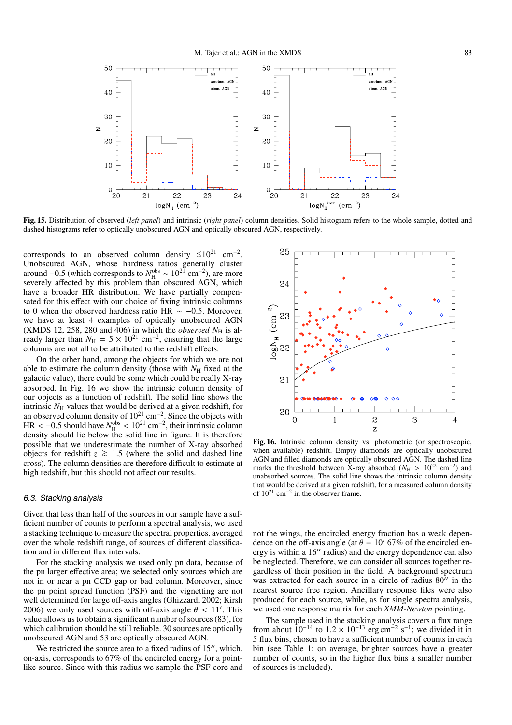

Fig. 15. Distribution of observed (left panel) and intrinsic (right panel) column densities. Solid histogram refers to the whole sample, dotted and dashed histograms refer to optically unobscured AGN and optically obscured AGN, respectively.

corresponds to an observed column density  $\leq 10^{21}$  cm<sup>-2</sup>. Unobscured AGN, whose hardness ratios generally cluster<br>around -0.5 (which corresponds to  $N_H^{obs} \sim 10^{21}$  cm<sup>-2</sup>), are more<br>severely affected by this problem than obscured AGN, which have a broader HR distribution. We have partially compensated for this effect with our choice of fixing intrinsic columns to 0 when the observed hardness ratio HR  $\sim -0.5$ . Moreover, we have at least 4 examples of optically unobscured AGN (XMDS 12, 258, 280 and 406) in which the *observed*  $N_{\text{H}}$  is already larger than  $N_{\text{H}} = 5 \times 10^{21} \text{ cm}^{-2}$ , ensuring that the large columns are not all to be attributed to the redshift effects.

On the other hand, among the objects for which we are not able to estimate the column density (those with  $N_{\rm H}$  fixed at the galactic value), there could be some which could be really X-ray absorbed. In Fig. 16 we show the intrinsic column density of our objects as a function of redshift. The solid line shows the intrinsic  $N<sub>H</sub>$  values that would be derived at a given redshift, for an observed column density of  $10^{21}$  cm<sup>-2</sup>. Since the objects with<br>HR < -0.5 should have  $N_H^{obs}$  <  $10^{21}$  cm<sup>-2</sup>, their intrinsic column density should lie below the solid line in figure. It is therefore possible that we underestimate the number of X-ray absorbed objects for redshift  $z \ge 1.5$  (where the solid and dashed line cross). The column densities are therefore difficult to estimate at high redshift, but this should not affect our results.

## 6.3. Stacking analysis

Given that less than half of the sources in our sample have a sufficient number of counts to perform a spectral analysis, we used a stacking technique to measure the spectral properties, averaged over the whole redshift range, of sources of different classification and in different flux intervals.

For the stacking analysis we used only pn data, because of the pn larger effective area; we selected only sources which are not in or near a pn CCD gap or bad column. Moreover, since the pn point spread function (PSF) and the vignetting are not well determined for large off-axis angles (Ghizzardi 2002; Kirsh 2006) we only used sources with off-axis angle  $\theta$  < 11'. This value allows us to obtain a significant number of sources (83), for which calibration should be still reliable. 30 sources are optically unobscured AGN and 53 are optically obscured AGN.

We restricted the source area to a fixed radius of 15", which, on-axis, corresponds to 67% of the encircled energy for a pointlike source. Since with this radius we sample the PSF core and



Fig. 16. Intrinsic column density vs. photometric (or spectroscopic, when available) redshift. Empty diamonds are optically unobscured AGN and filled diamonds are optically obscured AGN. The dashed line marks the threshold between X-ray absorbed ( $N_H > 10^{22}$  cm<sup>-2</sup>) and unabsorbed sources. The solid line shows the intrinsic column density that would be derived at a given redshift, for a measured column density of  $10^{21}$  cm<sup>-2</sup> in the observer frame.

not the wings, the encircled energy fraction has a weak dependence on the off-axis angle (at  $\theta = 10'$  67% of the encircled energy is within a 16" radius) and the energy dependence can also be neglected. Therefore, we can consider all sources together regardless of their position in the field. A background spectrum was extracted for each source in a circle of radius 80" in the nearest source free region. Ancillary response files were also produced for each source, while, as for single spectra analysis, we used one response matrix for each XMM-Newton pointing.

The sample used in the stacking analysis covers a flux range from about  $10^{-14}$  to  $1.2 \times 10^{-13}$  erg cm<sup>-2</sup> s<sup>-1</sup>; we divided it in 5 flux bins, chosen to have a sufficient number of counts in each bin (see Table 1; on average, brighter sources have a greater number of counts, so in the higher flux bins a smaller number of sources is included).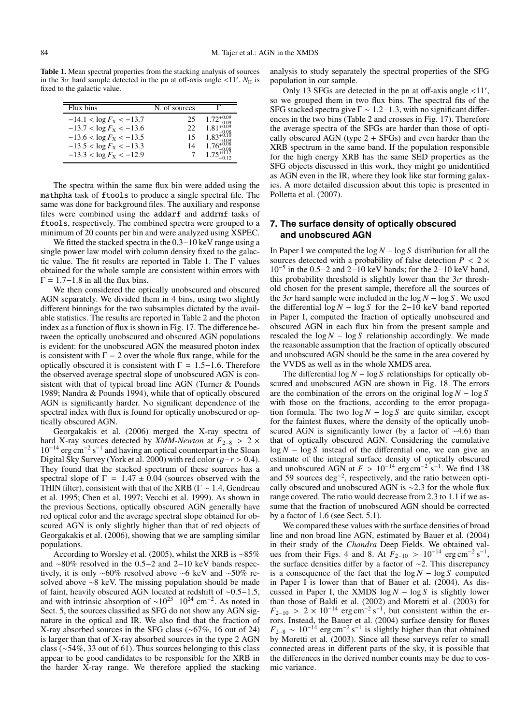Table 1. Mean spectral properties from the stacking analysis of sources in the  $3\sigma$  hard sample detected in the pn at off-axis angle <11'.  $N_{\rm H}$  is fixed to the galactic value.

| Flux bins                        | N. of sources |                |
|----------------------------------|---------------|----------------|
| $-14.1 < \log F_{\rm X} < -13.7$ | 25            | $1.72^{+0.09}$ |
| $-13.7 < \log F_{\rm X} < -13.6$ | 22            | 1.81           |
| $-13.6 < \log F_{\rm X} < -13.5$ | 15            | $1.83^{+0}$    |
| $-13.5 < \log F_{\rm X} < -13.3$ | 14            |                |
| $-13.3 < \log F_{\rm X} < -12.9$ |               | 1.75           |

The spectra within the same flux bin were added using the mathpha task of f tools to produce a single spectral file. The same was done for background files. The auxiliary and response files were combined using the addarf and addrmf tasks of f tools, respectively. The combined spectra were grouped to a minimum of 20 counts per bin and were analyzed using XSPEC.

We fitted the stacked spectra in the  $0.3-10 \text{ keV}$  range using a single power law model with column density fixed to the galactic value. The fit results are reported in Table 1. The  $\Gamma$  values obtained for the whole sample are consistent within errors with  $\Gamma = 1.7 - 1.8$  in all the flux bins.

We then considered the optically unobscured and obscured AGN separately. We divided them in 4 bins, using two slightly different binnings for the two subsamples dictated by the available statistics. The results are reported in Table 2 and the photon index as a function of flux is shown in Fig. 17. The difference between the optically unobscured and obscured AGN populations is evident: for the unobscured AGN the measured photon index is consistent with  $\Gamma = 2$  over the whole flux range, while for the optically obscured it is consistent with  $\Gamma = 1.5-1.6$ . Therefore the observed average spectral slope of unobscured AGN is consistent with that of typical broad line AGN (Turner & Pounds 1989; Nandra & Pounds 1994), while that of optically obscured AGN is significantly harder. No significant dependence of the spectral index with flux is found for optically unobscured or optically obscured AGN.

Georgakakis et al. (2006) merged the X-ray spectra of hard X-ray sources detected by XMM-Newton at  $F_{2-8} > 2 \times$  $10^{-14}$  erg cm<sup>-2</sup> s<sup>-1</sup> and having an optical counterpart in the Sloan Digital Sky Survey (York et al. 2000) with red color  $(q-r > 0.4)$ . They found that the stacked spectrum of these sources has a spectral slope of  $\Gamma = 1.47 \pm 0.04$  (sources observed with the THIN filter), consistent with that of the XRB ( $\Gamma \sim 1.4$ , Gendreau et al. 1995; Chen et al. 1997; Vecchi et al. 1999). As shown in the previous Sections, optically obscured AGN generally have red optical color and the average spectral slope obtained for obscured AGN is only slightly higher than that of red objects of Georgakakis et al. (2006), showing that we are sampling similar populations.

According to Worsley et al. (2005), whilst the XRB is  $\sim 85\%$ and  $\sim80\%$  resolved in the 0.5–2 and 2–10 keV bands respectively, it is only  $\sim 60\%$  resolved above  $\sim 6$  keV and  $\sim 50\%$  resolved above  $\sim 8$  keV. The missing population should be made of faint, heavily obscured AGN located at redshift of  $\sim 0.5-1.5$ , and with intrinsic absorption of  $\sim 10^{23} - 10^{24}$  cm<sup>-2</sup>. As noted in Sect. 5, the sources classified as SFG do not show any AGN signature in the optical and IR. We also find that the fraction of X-ray absorbed sources in the SFG class  $(\sim 67\%$ , 16 out of 24) is larger than that of X-ray absorbed sources in the type 2 AGN class ( $\sim$ 54%, 33 out of 61). Thus sources belonging to this class appear to be good candidates to be responsible for the XRB in the harder X-ray range. We therefore applied the stacking analysis to study separately the spectral properties of the SFG population in our sample.

Only 13 SFGs are detected in the pn at off-axis angle  $\langle 11',$ so we grouped them in two flux bins. The spectral fits of the SFG stacked spectra give  $\Gamma \sim 1.2-1.3$ , with no significant differences in the two bins (Table 2 and crosses in Fig. 17). Therefore the average spectra of the SFGs are harder than those of optically obscured AGN (type  $2 + SFGs$ ) and even harder than the XRB spectrum in the same band. If the population responsible for the high energy XRB has the same SED properties as the SFG objects discussed in this work, they might go unidentified as AGN even in the IR, where they look like star forming galaxies. A more detailed discussion about this topic is presented in Polletta et al. (2007).

## 7. The surface density of optically obscured and unobscured AGN

In Paper I we computed the  $\log N - \log S$  distribution for all the sources detected with a probability of false detection  $P < 2 \times$  $10^{-5}$  in the 0.5–2 and 2–10 keV bands; for the 2–10 keV band, this probability threshold is slightly lower than the  $3\sigma$  threshold chosen for the present sample, therefore all the sources of the  $3\sigma$  hard sample were included in the  $\log N - \log S$ . We used the differential  $\log N - \log S$  for the 2-10 keV band reported in Paper I, computed the fraction of optically unobscured and obscured AGN in each flux bin from the present sample and rescaled the  $\log N - \log S$  relationship accordingly. We made the reasonable assumption that the fraction of optically obscured and unobscured AGN should be the same in the area covered by the VVDS as well as in the whole XMDS area.

The differential  $\log N - \log S$  relationships for optically obscured and unobscured AGN are shown in Fig. 18. The errors are the combination of the errors on the original  $\log N - \log S$ with those on the fractions, according to the error propagation formula. The two  $\log N - \log S$  are quite similar, except for the faintest fluxes, where the density of the optically unobscured AGN is significantly lower (by a factor of  $~14.6$ ) than that of optically obscured AGN. Considering the cumulative  $\log N - \log S$  instead of the differential one, we can give an estimate of the integral surface density of optically obscured<br>and unobscured AGN at  $F > 10^{-14}$  erg cm<sup>-2</sup> s<sup>-1</sup>. We find 138 and 59 sources  $\text{deg}^{-2}$ , respectively, and the ratio between optically obscured and unobscured AGN is  $\sim$ 2.3 for the whole flux range covered. The ratio would decrease from 2.3 to 1.1 if we assume that the fraction of unobscured AGN should be corrected by a factor of  $1.6$  (see Sect. 5.1).

We compared these values with the surface densities of broad line and non broad line AGN, estimated by Bauer et al. (2004) in their study of the Chandra Deep Fields. We obtained values from their Figs. 4 and 8. At  $F_{2-10} > 10^{-14}$  erg cm<sup>-2</sup> s<sup>-1</sup>, the surface densities differ by a factor of  $\sim$ 2. This discrepancy is a consequence of the fact that the  $\log N - \log S$  computed in Paper I is lower than that of Bauer et al. (2004). As discussed in Paper I, the XMDS  $\log N - \log S$  is slightly lower than those of Baldi et al. (2002) and Moretti et al. (2003) for  $F_{2-10}$  > 2 × 10<sup>-14</sup> erg cm<sup>-2</sup> s<sup>-1</sup>, but consistent within the errors. Instead, the Bauer et al. (2004) surface density for fluxes  $F_{2-8} \sim 10^{-14}$  erg cm<sup>-2</sup> s<sup>-1</sup> is slightly higher than that obtained by Moretti et al. (2003). Since all these surveys refer to small connected areas in different parts of the sky, it is possible that the differences in the derived number counts may be due to cosmic variance.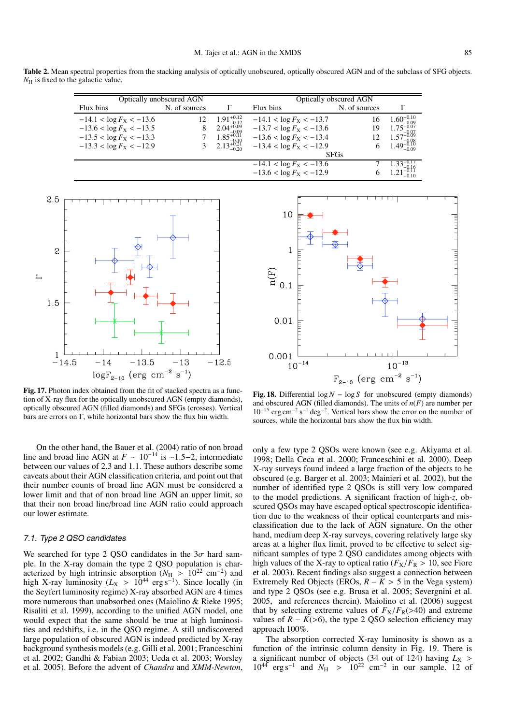Table 2. Mean spectral properties from the stacking analysis of optically unobscured, optically obscured AGN and of the subclass of SFG objects.  $N_{\rm H}$  is fixed to the galactic value.

|                                  | Optically unobscured AGN |                                                 | Optically obscured AGN           |               |                        |  |  |  |  |
|----------------------------------|--------------------------|-------------------------------------------------|----------------------------------|---------------|------------------------|--|--|--|--|
| Flux bins                        | N. of sources            | г                                               | Flux bins                        | N. of sources |                        |  |  |  |  |
| $-14.1 < \log F_{\rm X} < -13.6$ | 12                       | $1$ Q <sub>1</sub> +0.12                        | $-14.1 < \log F_{\rm X} < -13.7$ | 16            | $1.60^{+0.10}_{-0.22}$ |  |  |  |  |
| $-13.6 < \log F_{\rm X} < -13.5$ | 8                        | $2.04_{-0.09}^{+0.12}$                          | $-13.7 < \log F_{\rm X} < -13.6$ | 19            | $1.75+$                |  |  |  |  |
| $-13.5 < \log F_{\rm X} < -13.3$ |                          | $1.85^{+0.11}_{-0.10}$<br>2.13 <sup>+0.21</sup> | $-13.6 < \log F_{\rm X} < -13.4$ | 12            | $1.57^{+0.09}$         |  |  |  |  |
| $-13.3 < \log F_{\rm X} < -12.9$ |                          |                                                 | $-13.4 < \log F_{\rm X} < -12.9$ | 6             | $1.49^{+0.08}_{-0.00}$ |  |  |  |  |
|                                  |                          |                                                 |                                  | <b>SFGs</b>   |                        |  |  |  |  |
|                                  |                          |                                                 | $-14.1 < \log F_{\rm X} < -13.6$ |               | $1.33^{+0.1}$          |  |  |  |  |
|                                  |                          |                                                 | $-13.6 < \log F_{\rm X} < -12.9$ | 6             |                        |  |  |  |  |





Fig. 17. Photon index obtained from the fit of stacked spectra as a function of X-ray flux for the optically unobscured AGN (empty diamonds), optically obscured AGN (filled diamonds) and SFGs (crosses). Vertical bars are errors on  $\Gamma$ , while horizontal bars show the flux bin width.

On the other hand, the Bauer et al. (2004) ratio of non broad line and broad line AGN at  $F \sim 10^{-14}$  is  $\sim 1.5-2$ , intermediate between our values of 2.3 and 1.1. These authors describe some caveats about their AGN classification criteria, and point out that their number counts of broad line AGN must be considered a lower limit and that of non broad line AGN an upper limit, so that their non broad line/broad line AGN ratio could approach our lower estimate.

## 7.1. Type 2 QSO candidates

We searched for type 2 QSO candidates in the  $3\sigma$  hard sample. In the X-ray domain the type 2 QSO population is characterized by high intrinsic absorption ( $N_H > 10^{22}$  cm<sup>-2</sup>) and<br>high X-ray luminosity ( $L_X > 10^{44}$  erg s<sup>-1</sup>). Since locally (in the Seyfert luminosity regime) X-ray absorbed AGN are 4 times more numerous than unabsorbed ones (Maiolino & Rieke 1995; Risaliti et al. 1999), according to the unified AGN model, one would expect that the same should be true at high luminosities and redshifts, i.e. in the QSO regime. A still undiscovered large population of obscured AGN is indeed predicted by X-ray background synthesis models (e.g. Gilli et al. 2001; Franceschini et al. 2002; Gandhi & Fabian 2003; Ueda et al. 2003; Worsley et al. 2005). Before the advent of Chandra and XMM-Newton,

Fig. 18. Differential  $\log N - \log S$  for unobscured (empty diamonds) and obscured AGN (filled diamonds). The units of  $n(F)$  are number per  $10^{-15}$  erg cm<sup>-2</sup> s<sup>-1</sup> deg<sup>-2</sup>. Vertical bars show the error on the number of sources, while the horizontal bars show the flux bin width.

only a few type 2 QSOs were known (see e.g. Akiyama et al. 1998; Della Ceca et al. 2000; Franceschini et al. 2000). Deep X-ray surveys found indeed a large fraction of the objects to be obscured (e.g. Barger et al. 2003; Mainieri et al. 2002), but the number of identified type 2 QSOs is still very low compared to the model predictions. A significant fraction of high-z, obscured QSOs may have escaped optical spectroscopic identification due to the weakness of their optical counterparts and misclassification due to the lack of AGN signature. On the other hand, medium deep X-ray surveys, covering relatively large sky areas at a higher flux limit, proved to be effective to select significant samples of type 2 QSO candidates among objects with high values of the X-ray to optical ratio  $(F_X/F_R > 10$ , see Fiore et al. 2003). Recent findings also suggest a connection between Extremely Red Objects (EROs,  $R - K > 5$  in the Vega system) and type 2 QSOs (see e.g. Brusa et al. 2005; Severgnini et al. 2005, and references therein). Maiolino et al. (2006) suggest that by selecting extreme values of  $F_X/F_R$ (>40) and extreme values of  $R - K$ (>6), the type 2 QSO selection efficiency may approach 100%.

The absorption corrected X-ray luminosity is shown as a function of the intrinsic column density in Fig. 19. There is a significant number of objects (34 out of 124) having  $L_X > 10^{44}$  erg s<sup>-1</sup> and  $N_H > 10^{22}$  cm<sup>-2</sup> in our sample. 12 of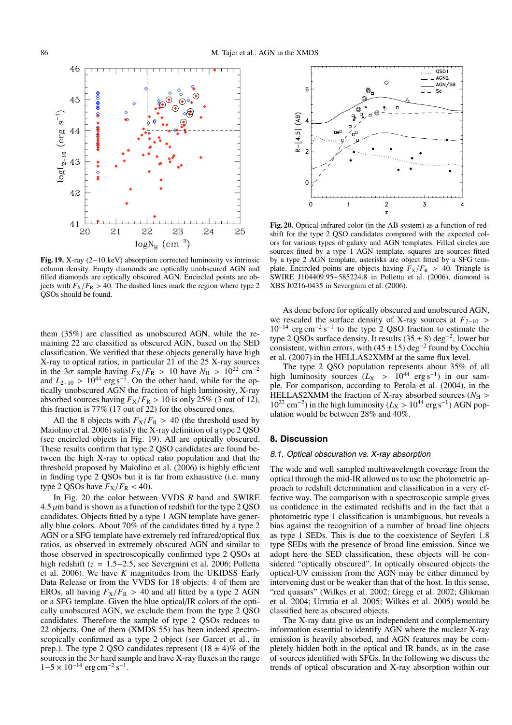

Fig. 19. X-ray  $(2-10 \text{ keV})$  absorption corrected luminosity vs intrinsic column density. Empty diamonds are optically unobscured AGN and filled diamonds are optically obscured AGN. Encircled points are objects with  $F_X/F_R > 40$ . The dashed lines mark the region where type 2 QSOs should be found.

them (35%) are classified as unobscured AGN, while the remaining 22 are classified as obscured AGN, based on the SED classification. We verified that these objects generally have high X-ray to optical ratios, in particular 21 of the 25 X-ray sources in the  $3\sigma$  sample having  $F_X/F_R > 10$  have  $N_H > 10^{22}$  cm<sup>-2</sup><br>and  $L_{2-10} > 10^{44}$  erg s<sup>-1</sup>. On the other hand, while for the optically unobscured AGN the fraction of high luminosity, X-ray absorbed sources having  $F_X/F_R > 10$  is only 25% (3 out of 12), this fraction is  $77\%$  (17 out of 22) for the obscured ones.

All the 8 objects with  $F_X/F_R > 40$  (the threshold used by Maiolino et al. 2006) satisfy the X-ray definition of a type 2 QSO (see encircled objects in Fig. 19). All are optically obscured. These results confirm that type 2 QSO candidates are found between the high X-ray to optical ratio population and that the threshold proposed by Maiolino et al. (2006) is highly efficient in finding type 2 QSOs but it is far from exhaustive (i.e. many type 2 QSOs have  $F_X/F_R$  < 40).

In Fig. 20 the color between VVDS  $R$  band and SWIRE  $4.5 \mu$ m band is shown as a function of redshift for the type 2 OSO candidates. Objects fitted by a type 1 AGN template have generally blue colors. About 70% of the candidates fitted by a type 2 AGN or a SFG template have extremely red infrared/optical flux ratios, as observed in extremely obscured AGN and similar to those observed in spectroscopically confirmed type 2 QSOs at high redshift ( $z = 1.5-2.5$ , see Severgnini et al. 2006; Polletta et al. 2006). We have  $K$  magnitudes from the UKIDSS Early Data Release or from the VVDS for 18 objects: 4 of them are EROs, all having  $F_X/F_R > 40$  and all fitted by a type 2 AGN or a SFG template. Given the blue optical/IR colors of the optically unobscured AGN, we exclude them from the type 2 QSO candidates. Therefore the sample of type 2 QSOs reduces to 22 objects. One of them (XMDS 55) has been indeed spectroscopically confirmed as a type 2 object (see Garcet et al., in prep.). The type 2 QSO candidates represent  $(18 \pm 4)\%$  of the sources in the  $3\sigma$  hard sample and have X-ray fluxes in the range  $1-5 \times 10^{-14}$  erg cm<sup>-2</sup> s<sup>-1</sup>.



Fig. 20. Optical-infrared color (in the AB system) as a function of redshift for the type 2 QSO candidates compared with the expected colors for various types of galaxy and AGN templates. Filled circles are sources fitted by a type 1 AGN template, squares are sources fitted by a type 2 AGN template, asterisks are object fitted by a SFG template. Encircled points are objects having  $F_X/F_R > 40$ . Triangle is SWIRE\_J104409.95+585224.8 in Polletta et al. (2006), diamond is XBS J0216-0435 in Severgnini et al. (2006).

As done before for optically obscured and unobscured AGN, we rescaled the surface density of X-ray sources at  $F_{2-10}$  >  $10^{-14}$  erg cm<sup>-2</sup> s<sup>-1</sup> to the type 2 QSO fraction to estimate the type 2 QSOs surface density. It results  $(35 \pm 8)$  deg<sup>-2</sup>, lower but consistent, within errors, with  $(45 \pm 15)$  deg<sup>-2</sup> found by Cocchia et al. (2007) in the HELLAS2XMM at the same flux level.

The type 2 QSO population represents about 35% of all high luminosity sources  $(L_X > 10^{44} \text{ erg s}^{-1})$  in our sample. For comparison, according to Perola et al. (2004), in the HELLAS2XMM the fraction of X-ray absorbed sources ( $N_{\rm H}$  >  $10^{22}$  cm<sup>-2</sup>) in the high luminosity ( $L_{\rm X} > 10^{44}$  erg s<sup>-1</sup>) AGN population would be between 28% and 40%.

## 8. Discussion

## 8.1. Optical obscuration vs. X-ray absorption

The wide and well sampled multiwavelength coverage from the optical through the mid-IR allowed us to use the photometric approach to redshift determination and classification in a very effective way. The comparison with a spectroscopic sample gives us confidence in the estimated redshifts and in the fact that a photometric type 1 classification is unambiguous, but reveals a bias against the recognition of a number of broad line objects as type 1 SEDs. This is due to the coexistence of Seyfert 1.8 type SEDs with the presence of broad line emission. Since we adopt here the SED classification, these objects will be considered "optically obscured". In optically obscured objects the optical-UV emission from the AGN may be either dimmed by intervening dust or be weaker than that of the host. In this sense, "red quasars" (Wilkes et al. 2002; Gregg et al. 2002; Glikman et al. 2004; Urrutia et al. 2005; Wilkes et al. 2005) would be classified here as obscured objects.

The X-ray data give us an independent and complementary information essential to identify AGN where the nuclear X-ray emission is heavily absorbed, and AGN features may be completely hidden both in the optical and IR bands, as in the case of sources identified with SFGs. In the following we discuss the trends of optical obscuration and X-ray absorption within our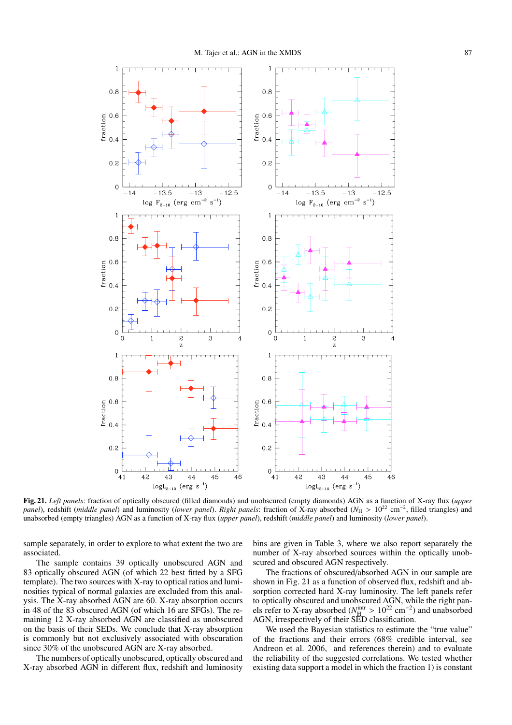

Fig. 21. Left panels: fraction of optically obscured (filled diamonds) and unobscured (empty diamonds) AGN as a function of X-ray flux (upper panel), redshift (middle panel) and luminosity (lower panel). Right panels: fraction of X-ray absorbed ( $N_H > 10^{22}$  cm<sup>-2</sup>, filled triangles) and unabsorbed (empty triangles) AGN as a function of X-ray flux (upper panel), redshift (middle panel) and luminosity (lower panel).

sample separately, in order to explore to what extent the two are associated

The sample contains 39 optically unobscured AGN and 83 optically obscured AGN (of which 22 best fitted by a SFG template). The two sources with X-ray to optical ratios and luminosities typical of normal galaxies are excluded from this analysis. The X-ray absorbed AGN are 60. X-ray absorption occurs in 48 of the 83 obscured AGN (of which 16 are SFGs). The remaining 12 X-ray absorbed AGN are classified as unobscured on the basis of their SEDs. We conclude that X-ray absorption is commonly but not exclusively associated with obscuration since 30% of the unobscured AGN are X-ray absorbed.

The numbers of optically unobscured, optically obscured and X-ray absorbed AGN in different flux, redshift and luminosity

bins are given in Table 3, where we also report separately the number of X-ray absorbed sources within the optically unobscured and obscured AGN respectively.

The fractions of obscured/absorbed AGN in our sample are shown in Fig. 21 as a function of observed flux, redshift and absorption corrected hard X-ray luminosity. The left panels refer to optically obscured and unobscured AGN, while the right panels refer to X-ray absorbed ( $N_{\text{H}}^{\text{intr}} > 10^{22} \text{ cm}^{-2}$ ) and unabsorbed AGN, irrespectively of their SED classification.

We used the Bayesian statistics to estimate the "true value" of the fractions and their errors (68% credible interval, see Andreon et al. 2006, and references therein) and to evaluate the reliability of the suggested correlations. We tested whether existing data support a model in which the fraction 1) is constant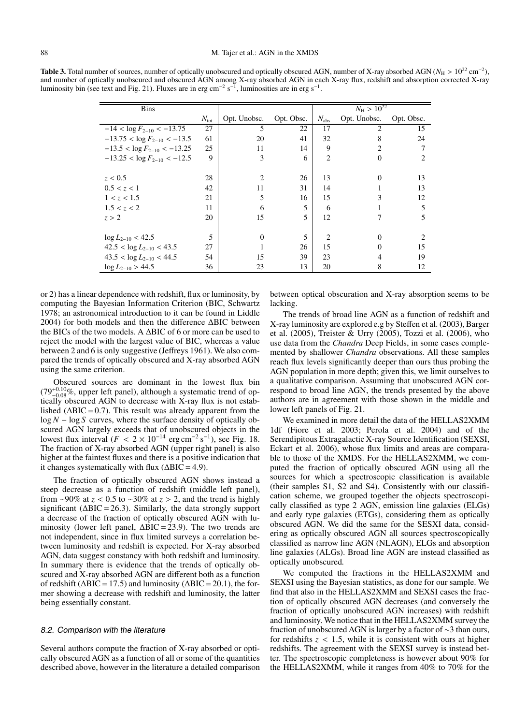Table 3. Total number of sources, number of optically unobscured and optically obscured AGN, number of X-ray absorbed AGN ( $N_H > 10^{22}$  cm<sup>-2</sup>), and number of optically unobscured and obscured AGN among X-ray absorbed AGN in each X-ray flux, redshift and absorption corrected X-ray luminosity bin (see text and Fig. 21). Fluxes are in erg cm<sup>-2</sup> s<sup>-1</sup>, luminosities are in erg s<sup>-1</sup>.

| <b>Bins</b>                      |                  |              |            |               | $N_{\rm H} > 10^{22}$       |            |
|----------------------------------|------------------|--------------|------------|---------------|-----------------------------|------------|
|                                  | $N_{\text{tot}}$ | Opt. Unobsc. | Opt. Obsc. | $N_{\rm abs}$ | Opt. Unobsc.                | Opt. Obsc. |
| $-14 < \log F_{2-10} < -13.75$   | 27               | 5            | 22         | 17            | 2                           | 15         |
| $-13.75 < \log F_{2-10} < -13.5$ | 61               | 20           | 41         | 32            | 8                           | 24         |
| $-13.5 < \log F_{2-10} < -13.25$ | 25               | 11           | 14         | 9             | $\mathcal{D}_{\mathcal{L}}$ | 7          |
| $-13.25 < \log F_{2-10} < -12.5$ | 9                | 3            | 6          | 2             | $\Omega$                    | 2          |
|                                  |                  |              |            |               |                             |            |
| z < 0.5                          | 28               | 2            | 26         | 13            | $\Omega$                    | 13         |
| 0.5 < z < 1                      | 42               | 11           | 31         | 14            |                             | 13         |
| 1 < z < 1.5                      | 21               | 5            | 16         | 15            | 3                           | 12         |
| 1.5 < z < 2                      | 11               | 6            | 5          | 6             |                             | 5          |
| z > 2                            | 20               | 15           | 5          | 12            |                             | 5          |
|                                  |                  |              |            |               |                             |            |
| $\log L_{2-10}$ < 42.5           | 5                | $\Omega$     | 5          | 2             | 0                           | 2          |
| $42.5 < log L_{2-10} < 43.5$     | 27               |              | 26         | 15            |                             | 15         |
| $43.5 < log L_{2-10} < 44.5$     | 54               | 15           | 39         | 23            | 4                           | 19         |
| $\log L_{2-10} > 44.5$           | 36               | 23           | 13         | 20            | 8                           | 12         |

or 2) has a linear dependence with redshift, flux or luminosity, by computing the Bayesian Information Criterion (BIC, Schwartz 1978; an astronomical introduction to it can be found in Liddle  $2004$ ) for both models and then the difference  $\triangle BIC$  between the BICs of the two models. A ABIC of 6 or more can be used to reject the model with the largest value of BIC, whereas a value between 2 and 6 is only suggestive (Jeffreys 1961). We also compared the trends of optically obscured and X-ray absorbed AGN using the same criterion.

Obscured sources are dominant in the lowest flux bin  $(79^{+0.10}_{-0.08}\%$ , upper left panel), although a systematic trend of optically obscured AGN to decrease with X-ray flux is not established ( $\triangle BIC = 0.7$ ). This result was already apparent from the  $\log N - \log S$  curves, where the surface density of optically obscured AGN largely exceeds that of unobscured objects in the lowest flux interval  $(F < 2 \times 10^{-14} \text{ erg cm}^{-2} \text{ s}^{-1})$ , see Fig. 18. The fraction of X-ray absorbed AGN (upper right panel) is also higher at the faintest fluxes and there is a positive indication that it changes systematically with flux ( $\triangle BIC = 4.9$ ).

The fraction of optically obscured AGN shows instead a steep decrease as a function of redshift (middle left panel), from ~90% at  $z < 0.5$  to ~30% at  $z > 2$ , and the trend is highly significant ( $\triangle BIC = 26.3$ ). Similarly, the data strongly support a decrease of the fraction of optically obscured AGN with luminosity (lower left panel,  $\triangle BIC = 23.9$ ). The two trends are not independent, since in flux limited surveys a correlation between luminosity and redshift is expected. For X-ray absorbed AGN, data suggest constancy with both redshift and luminosity. In summary there is evidence that the trends of optically obscured and X-ray absorbed AGN are different both as a function of redshift ( $\triangle BIC = 17.5$ ) and luminosity ( $\triangle BIC = 20.1$ ), the former showing a decrease with redshift and luminosity, the latter being essentially constant.

#### 8.2. Comparison with the literature

Several authors compute the fraction of X-ray absorbed or optically obscured AGN as a function of all or some of the quantities described above, however in the literature a detailed comparison

between optical obscuration and X-ray absorption seems to be lacking.

The trends of broad line AGN as a function of redshift and X-ray luminosity are explored e.g by Steffen et al. (2003), Barger et al. (2005), Treister & Urry (2005), Tozzi et al. (2006), who use data from the Chandra Deep Fields, in some cases complemented by shallower *Chandra* observations. All these samples reach flux levels significantly deeper than ours thus probing the AGN population in more depth; given this, we limit ourselves to a qualitative comparison. Assuming that unobscured AGN correspond to broad line AGN, the trends presented by the above authors are in agreement with those shown in the middle and lower left panels of Fig. 21.

We examined in more detail the data of the HELLAS2XMM 1df (Fiore et al. 2003; Perola et al. 2004) and of the Serendipitous Extragalactic X-ray Source Identification (SEXSI, Eckart et al. 2006), whose flux limits and areas are comparable to those of the XMDS. For the HELLAS2XMM, we computed the fraction of optically obscured AGN using all the sources for which a spectroscopic classification is available (their samples S1, S2 and S4). Consistently with our classification scheme, we grouped together the objects spectroscopically classified as type 2 AGN, emission line galaxies (ELGs) and early type galaxies (ETGs), considering them as optically obscured AGN. We did the same for the SESXI data, considering as optically obscured AGN all sources spectroscopically classified as narrow line AGN (NLAGN), ELGs and absorption line galaxies (ALGs). Broad line AGN are instead classified as optically unobscured.

We computed the fractions in the HELLAS2XMM and SEXSI using the Bayesian statistics, as done for our sample. We find that also in the HELLAS2XMM and SEXSI cases the fraction of optically obscured AGN decreases (and conversely the fraction of optically unobscured AGN increases) with redshift and luminosity. We notice that in the HELLAS2XMM survey the fraction of unobscured AGN is larger by a factor of  $\sim$ 3 than ours, for redshifts  $z < 1.5$ , while it is consistent with ours at higher redshifts. The agreement with the SEXSI survey is instead better. The spectroscopic completeness is however about 90% for the HELLAS2XMM, while it ranges from 40% to 70% for the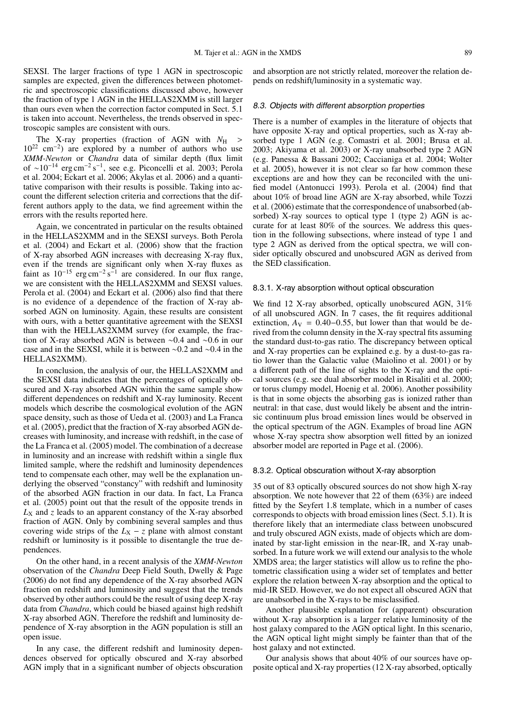SEXSI. The larger fractions of type 1 AGN in spectroscopic samples are expected, given the differences between photometric and spectroscopic classifications discussed above, however the fraction of type 1 AGN in the HELLAS2XMM is still larger than ours even when the correction factor computed in Sect. 5.1 is taken into account. Nevertheless, the trends observed in spectroscopic samples are consistent with ours.

The X-ray properties (fraction of AGN with  $N_{\rm H}$  >  $10^{22}$  cm<sup>-2</sup>) are explored by a number of authors who use XMM-Newton or Chandra data of similar depth (flux limit of  $\sim 10^{-14}$  erg cm<sup>-2</sup> s<sup>-1</sup>, see e.g. Piconcelli et al. 2003; Perola et al. 2004; Eckart et al. 2006; Akylas et al. 2006) and a quantitative comparison with their results is possible. Taking into account the different selection criteria and corrections that the different authors apply to the data, we find agreement within the errors with the results reported here.

Again, we concentrated in particular on the results obtained in the HELLAS2XMM and in the SEXSI surveys. Both Perola et al.  $(2004)$  and Eckart et al.  $(2006)$  show that the fraction of X-ray absorbed AGN increases with decreasing X-ray flux, even if the trends are significant only when X-ray fluxes as faint as  $10^{-15}$  erg cm<sup>-2</sup> s<sup>-1</sup> are considered. In our flux range, we are consistent with the HELLAS2XMM and SEXSI values. Perola et al. (2004) and Eckart et al. (2006) also find that there is no evidence of a dependence of the fraction of X-ray absorbed AGN on luminosity. Again, these results are consistent with ours, with a better quantitative agreement with the SEXSI than with the HELLAS2XMM survey (for example, the fraction of X-ray absorbed AGN is between  $\sim 0.4$  and  $\sim 0.6$  in our case and in the SEXSI, while it is between  $\sim 0.2$  and  $\sim 0.4$  in the HELLAS2XMM).

In conclusion, the analysis of our, the HELLAS2XMM and the SEXSI data indicates that the percentages of optically obscured and X-ray absorbed AGN within the same sample show different dependences on redshift and X-ray luminosity. Recent models which describe the cosmological evolution of the AGN space density, such as those of Ueda et al. (2003) and La Franca et al. (2005), predict that the fraction of X-ray absorbed AGN decreases with luminosity, and increase with redshift, in the case of the La Franca et al. (2005) model. The combination of a decrease in luminosity and an increase with redshift within a single flux limited sample, where the redshift and luminosity dependences tend to compensate each other, may well be the explanation underlying the observed "constancy" with redshift and luminosity of the absorbed AGN fraction in our data. In fact, La Franca et al. (2005) point out that the result of the opposite trends in  $L_X$  and z leads to an apparent constancy of the X-ray absorbed fraction of AGN. Only by combining several samples and thus covering wide strips of the  $L_X - z$  plane with almost constant redshift or luminosity is it possible to disentangle the true dependences.

On the other hand, in a recent analysis of the XMM-Newton observation of the *Chandra* Deep Field South, Dwelly & Page (2006) do not find any dependence of the X-ray absorbed AGN fraction on redshift and luminosity and suggest that the trends observed by other authors could be the result of using deep X-ray data from *Chandra*, which could be biased against high redshift X-ray absorbed AGN. Therefore the redshift and luminosity dependence of X-ray absorption in the AGN population is still an open issue.

In any case, the different redshift and luminosity dependences observed for optically obscured and X-ray absorbed AGN imply that in a significant number of objects obscuration

and absorption are not strictly related, moreover the relation depends on redshift/luminosity in a systematic way.

#### 8.3. Objects with different absorption properties

There is a number of examples in the literature of objects that have opposite X-ray and optical properties, such as X-ray absorbed type 1 AGN (e.g. Comastri et al. 2001; Brusa et al. 2003; Akiyama et al. 2003) or X-ray unabsorbed type 2 AGN (e.g. Panessa & Bassani 2002; Caccianiga et al. 2004; Wolter et al. 2005), however it is not clear so far how common these exceptions are and how they can be reconciled with the unified model (Antonucci 1993). Perola et al. (2004) find that about 10% of broad line AGN are X-ray absorbed, while Tozzi et al. (2006) estimate that the correspondence of unabsorbed (absorbed) X-ray sources to optical type 1 (type 2) AGN is accurate for at least 80% of the sources. We address this question in the following subsections, where instead of type 1 and type 2 AGN as derived from the optical spectra, we will consider optically obscured and unobscured AGN as derived from the SED classification.

## 8.3.1. X-ray absorption without optical obscuration

We find 12 X-ray absorbed, optically unobscured AGN, 31% of all unobscured AGN. In 7 cases, the fit requires additional extinction,  $A_V = 0.40{\text{-}}0.55$ , but lower than that would be derived from the column density in the X-ray spectral fits assuming the standard dust-to-gas ratio. The discrepancy between optical and X-ray properties can be explained e.g. by a dust-to-gas ratio lower than the Galactic value (Maiolino et al. 2001) or by a different path of the line of sights to the X-ray and the optical sources (e.g. see dual absorber model in Risaliti et al. 2000; or torus clumpy model, Hoenig et al. 2006). Another possibility is that in some objects the absorbing gas is ionized rather than neutral: in that case, dust would likely be absent and the intrinsic continuum plus broad emission lines would be observed in the optical spectrum of the AGN. Examples of broad line AGN whose X-ray spectra show absorption well fitted by an ionized absorber model are reported in Page et al. (2006).

#### 8.3.2. Optical obscuration without X-ray absorption

35 out of 83 optically obscured sources do not show high X-ray absorption. We note however that 22 of them  $(63\%)$  are indeed fitted by the Seyfert 1.8 template, which in a number of cases corresponds to objects with broad emission lines (Sect. 5.1). It is therefore likely that an intermediate class between unobscured and truly obscured AGN exists, made of objects which are dominated by star-light emission in the near-IR, and X-ray unabsorbed. In a future work we will extend our analysis to the whole XMDS area; the larger statistics will allow us to refine the photometric classification using a wider set of templates and better explore the relation between X-ray absorption and the optical to mid-IR SED. However, we do not expect all obscured AGN that are unabsorbed in the X-rays to be misclassified.

Another plausible explanation for (apparent) obscuration without X-ray absorption is a larger relative luminosity of the host galaxy compared to the AGN optical light. In this scenario, the AGN optical light might simply be fainter than that of the host galaxy and not extincted.

Our analysis shows that about 40% of our sources have opposite optical and X-ray properties (12 X-ray absorbed, optically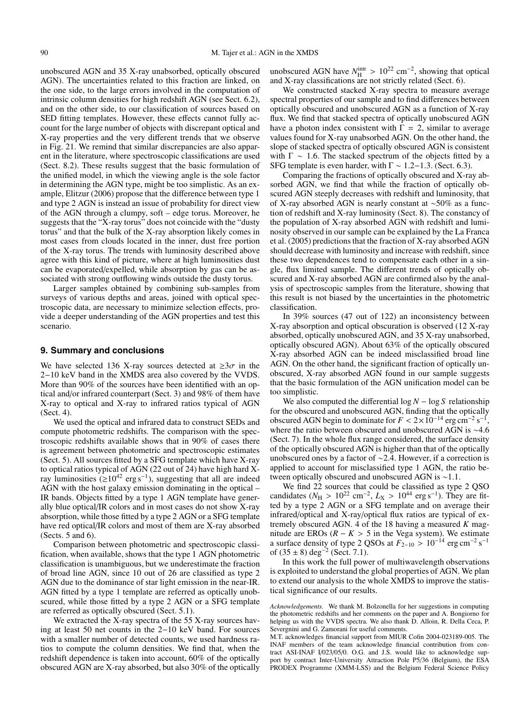unobscured AGN and 35 X-ray unabsorbed, optically obscured AGN). The uncertainties related to this fraction are linked, on the one side, to the large errors involved in the computation of intrinsic column densities for high redshift AGN (see Sect. 6.2), and on the other side, to our classification of sources based on SED fitting templates. However, these effects cannot fully account for the large number of objects with discrepant optical and X-ray properties and the very different trends that we observe in Fig. 21. We remind that similar discrepancies are also apparent in the literature, where spectroscopic classifications are used (Sect. 8.2). These results suggest that the basic formulation of the unified model, in which the viewing angle is the sole factor in determining the AGN type, might be too simplistic. As an example, Elitzur (2006) propose that the difference between type 1 and type 2 AGN is instead an issue of probability for direct view of the AGN through a clumpy, soft - edge torus. Moreover, he suggests that the "X-ray torus" does not coincide with the "dusty torus" and that the bulk of the X-ray absorption likely comes in most cases from clouds located in the inner, dust free portion of the X-ray torus. The trends with luminosity described above agree with this kind of picture, where at high luminosities dust can be evaporated/expelled, while absorption by gas can be associated with strong outflowing winds outside the dusty torus.

Larger samples obtained by combining sub-samples from surveys of various depths and areas, joined with optical spectroscopic data, are necessary to minimize selection effects, provide a deeper understanding of the AGN properties and test this scenario.

## 9. Summary and conclusions

We have selected 136 X-ray sources detected at  $\geq 3\sigma$  in the  $2-10$  keV band in the XMDS area also covered by the VVDS. More than 90% of the sources have been identified with an optical and/or infrared counterpart (Sect. 3) and 98% of them have X-ray to optical and X-ray to infrared ratios typical of AGN (Sect. 4).

We used the optical and infrared data to construct SEDs and compute photometric redshifts. The comparison with the spectroscopic redshifts available shows that in 90% of cases there is agreement between photometric and spectroscopic estimates (Sect. 5). All sources fitted by a SFG template which have X-ray to optical ratios typical of AGN (22 out of 24) have high hard Xray luminosities ( $\geq 10^{42}$  erg s<sup>-1</sup>), suggesting that all are indeed AGN with the host galaxy emission dominating in the optical – IR bands. Objects fitted by a type 1 AGN template have generally blue optical/IR colors and in most cases do not show X-ray absorption, while those fitted by a type 2 AGN or a SFG template have red optical/IR colors and most of them are X-ray absorbed (Sects.  $5$  and  $6$ ).

Comparison between photometric and spectroscopic classification, when available, shows that the type 1 AGN photometric classification is unambiguous, but we underestimate the fraction of broad line AGN, since 10 out of 26 are classified as type 2 AGN due to the dominance of star light emission in the near-IR. AGN fitted by a type 1 template are referred as optically unobscured, while those fitted by a type 2 AGN or a SFG template are referred as optically obscured (Sect. 5.1).

We extracted the X-ray spectra of the 55 X-ray sources having at least 50 net counts in the  $2-10$  keV band. For sources with a smaller number of detected counts, we used hardness ratios to compute the column densities. We find that, when the redshift dependence is taken into account, 60% of the optically obscured AGN are X-ray absorbed, but also 30% of the optically unobscured AGN have  $N_H^{\text{intr}} > 10^{22} \text{ cm}^{-2}$ , showing that optical and X-ray classifications are not strictly related (Sect. 6).

We constructed stacked X-ray spectra to measure average spectral properties of our sample and to find differences between optically obscured and unobscured AGN as a function of X-ray flux. We find that stacked spectra of optically unobscured AGN have a photon index consistent with  $\Gamma = 2$ , similar to average values found for X-ray unabsorbed AGN. On the other hand, the slope of stacked spectra of optically obscured AGN is consistent with  $\Gamma \sim 1.6$ . The stacked spectrum of the objects fitted by a SFG template is even harder, with  $\Gamma \sim 1.2-1.3$ . (Sect. 6.3).

Comparing the fractions of optically obscured and X-ray absorbed AGN, we find that while the fraction of optically obscured AGN steeply decreases with redshift and luminosity, that of X-ray absorbed AGN is nearly constant at  $\sim$ 50% as a function of redshift and X-ray luminosity (Sect. 8). The constancy of the population of X-ray absorbed AGN with redshift and luminosity observed in our sample can be explained by the La Franca et al. (2005) predictions that the fraction of X-ray absorbed AGN should decrease with luminosity and increase with redshift, since these two dependences tend to compensate each other in a single, flux limited sample. The different trends of optically obscured and X-ray absorbed AGN are confirmed also by the analysis of spectroscopic samples from the literature, showing that this result is not biased by the uncertainties in the photometric classification.

In 39% sources (47 out of 122) an inconsistency between X-ray absorption and optical obscuration is observed (12 X-ray absorbed, optically unobscured AGN, and 35 X-ray unabsorbed, optically obscured AGN). About 63% of the optically obscured X-ray absorbed AGN can be indeed misclassified broad line AGN. On the other hand, the significant fraction of optically unobscured, X-ray absorbed AGN found in our sample suggests that the basic formulation of the AGN unification model can be too simplistic.

We also computed the differential  $\log N - \log S$  relationship for the obscured and unobscured AGN, finding that the optically obscured AGN begin to dominate for  $F < 2 \times 10^{-14}$  erg cm<sup>-2</sup> s<sup>-1</sup>. where the ratio between obscured and unobscured AGN is  $~4.6$ (Sect. 7). In the whole flux range considered, the surface density of the optically obscured AGN is higher than that of the optically unobscured ones by a factor of  $\sim$ 2.4. However, if a correction is applied to account for misclassified type 1 AGN, the ratio between optically obscured and unobscured AGN is  $\sim$ 1.1.

We find 22 sources that could be classified as type 2 QSO candidates ( $N_{\rm H} > 10^{22}$  cm<sup>-2</sup>,  $L_{\rm X} > 10^{44}$  erg s<sup>-1</sup>). They are fitted by a type 2 AGN or a SFG template and on average their infrared/optical and X-ray/optical flux ratios are typical of extremely obscured AGN. 4 of the 18 having a measured  $K$  magnitude are EROs ( $R - K > 5$  in the Vega system). We estimate a surface density of type 2 QSOs at  $F_{2-10} > 10^{-14}$  erg cm<sup>-2</sup> s<sup>-1</sup> of  $(35 \pm 8)$  deg<sup>-2</sup> (Sect. 7.1).

In this work the full power of multiwavelength observations is exploited to understand the global properties of AGN. We plan to extend our analysis to the whole XMDS to improve the statistical significance of our results.

Acknowledgements. We thank M. Bolzonella for her suggestions in computing the photometric redshifts and her comments on the paper and A. Bongiorno for helping us with the VVDS spectra. We also thank D. Alloin, R. Della Ceca, P. Severonini and G. Zamorani for useful comments.

M.T. acknowledges financial support from MIUR Cofin 2004-023189-005. The INAF members of the team acknowledge financial contribution from contract ASI-INAF I/023/05/0. O.G. and J.S. would like to acknowledge support by contract Inter-University Attraction Pole P5/36 (Belgium), the ESA PRODEX Programme (XMM-LSS) and the Belgium Federal Science Policy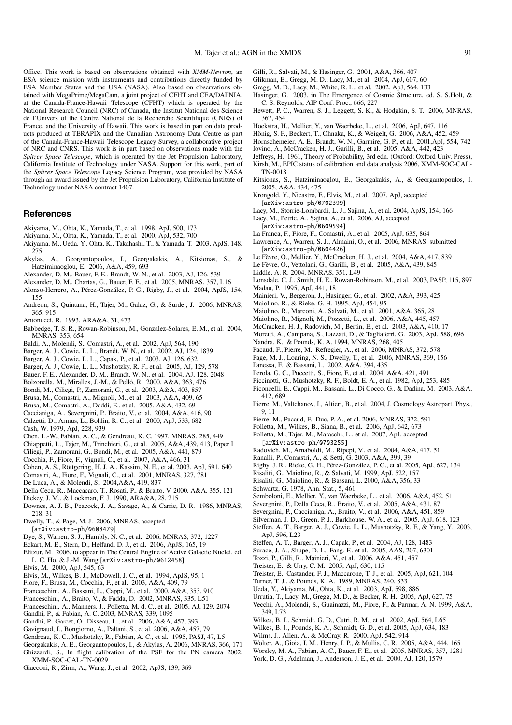Office. This work is based on observations obtained with XMM-Newton, an ESA science mission with instruments and contributions directly funded by ESA Member States and the USA (NASA). Also based on observations obtained with MegaPrime/MegaCam, a joint project of CFHT and CEA/DAPNIA, at the Canada-France-Hawaii Telescope (CFHT) which is operated by the National Research Council (NRC) of Canada, the Institut National des Science de l'Univers of the Centre National de la Recherche Scientifique (CNRS) of France, and the University of Hawaii. This work is based in part on data products produced at TERAPIX and the Canadian Astronomy Data Centre as part of the Canada-France-Hawaii Telescope Legacy Survey, a collaborative project of NRC and CNRS. This work is in part based on observations made with the Spitzer Space Telescope, which is operated by the Jet Propulsion Laboratory, California Institute of Technology under NASA. Support for this work, part of the Spitzer Space Telescope Legacy Science Program, was provided by NASA through an award issued by the Jet Propulsion Laboratory, California Institute of Technology under NASA contract 1407.

## **References**

- Akiyama, M., Ohta, K., Yamada, T., et al. 1998, ApJ, 500, 173
- Akiyama, M., Ohta, K., Yamada, T., et al. 2000, ApJ, 532, 700
- Akiyama, M., Ueda, Y., Ohta, K., Takahashi, T., & Yamada, T. 2003, ApJS, 148, 275
- Akylas, A., Georgantopoulos, I., Georgakakis, A., Kitsionas, S., & Hatziminaoglou, E. 2006, A&A, 459, 693
- Alexander, D. M., Bauer, F. E., Brandt, W. N., et al. 2003, AJ, 126, 539
- Alexander, D. M., Chartas, G., Bauer, F. E., et al. 2005, MNRAS, 357, L16
- Alonso-Herrero, A., Pérez-González, P. G., Rigby, J., et al. 2004, ApJS, 154, 155
- Andreon, S., Quintana, H., Tajer, M., Galaz, G., & Surdej, J. 2006, MNRAS, 365, 915
- Antonucci, R. 1993, ARA&A, 31, 473
- Babbedge, T. S. R., Rowan-Robinson, M., Gonzalez-Solares, E. M., et al. 2004, MNRAS, 353, 654
- Baldi, A., Molendi, S., Comastri, A., et al. 2002, ApJ, 564, 190
- Barger, A. J., Cowie, L. L., Brandt, W. N., et al. 2002, AJ, 124, 1839
- Barger, A. J., Cowie, L. L., Capak, P., et al. 2003, AJ, 126, 632
- Barger, A. J., Cowie, L. L., Mushotzky, R. F., et al. 2005, AJ, 129, 578
- Bauer, F. E., Alexander, D. M., Brandt, W. N., et al. 2004, AJ, 128, 2048
- Bolzonella, M., Miralles, J.-M., & Pelló, R. 2000, A&A, 363, 476
- Bondi, M., Ciliegi, P., Zamorani, G., et al. 2003, A&A, 403, 857
- Brusa, M., Comastri, A., Mignoli, M., et al. 2003, A&A, 409, 65
- Brusa, M., Comastri, A., Daddi, E., et al. 2005, A&A, 432, 69
- Caccianiga, A., Severgnini, P., Braito, V., et al. 2004, A&A, 416, 901 Calzetti, D., Armus, L., Bohlin, R. C., et al. 2000, ApJ, 533, 682
- 
- Cash, W. 1979, ApJ, 228, 939
- Chen, L.-W., Fabian, A. C., & Gendreau, K. C. 1997, MNRAS, 285, 449
- Chiappetti, L., Tajer, M., Trinchieri, G., et al. 2005, A&A, 439, 413, Paper I Ciliegi, P., Zamorani, G., Bondi, M., et al. 2005, A&A, 441, 879
- Cocchia, F., Fiore, F., Vignali, C., et al. 2007, A&A, 466, 31
- Cohen, A. S., Röttgering, H. J. A., Kassim, N. E., et al. 2003, ApJ, 591, 640
- Comastri, A., Fiore, F., Vignali, C., et al. 2001, MNRAS, 327, 781
- De Luca, A., & Molendi, S. 2004, A&A, 419, 837
- Della Ceca, R., Maccacaro, T., Rosati, P., & Braito, V. 2000, A&A, 355, 121
- Dickey, J. M., & Lockman, F. J. 1990, ARA&A, 28, 215
- Downes, A. J. B., Peacock, J. A., Savage, A., & Carrie, D. R. 1986, MNRAS, 218.31
- Dwelly, T., & Page, M. J. 2006, MNRAS, accepted
- $[arXiv:astro-ph/0608479]$
- Dye, S., Warren, S. J., Hambly, N. C., et al. 2006, MNRAS, 372, 1227
- Eckart, M. E., Stern, D., Helfand, D. J., et al. 2006, ApJS, 165, 19
- Elitzur, M. 2006, to appear in The Central Engine of Active Galactic Nuclei, ed. L. C. Ho, & J.-M. Wang [arXiv: astro-ph/0612458]
- Elvis, M. 2000, ApJ, 545, 63
- Elvis, M., Wilkes, B. J., McDowell, J. C., et al. 1994, ApJS, 95, 1
- Fiore, F., Brusa, M., Cocchia, F., et al. 2003, A&A, 409, 79
- Franceschini, A., Bassani, L., Cappi, M., et al. 2000, A&A, 353, 910
- Franceschini, A., Braito, V., & Fadda, D. 2002, MNRAS, 335, L51
- Franceschini, A., Manners, J., Polletta, M. d. C., et al. 2005, AJ, 129, 2074
- Gandhi, P., & Fabian, A. C. 2003, MNRAS, 339, 1095
- Gandhi, P., Garcet, O., Disseau, L., et al. 2006, A&A, 457, 393
- Gavignaud, I., Bongiorno, A., Paltani, S., et al. 2006, A&A, 457, 79
- Gendreau, K. C., Mushotzky, R., Fabian, A. C., et al. 1995, PASJ, 47, L5
- Georgakakis, A. E., Georgantopoulos, I., & Akylas, A. 2006, MNRAS, 366, 171
- Ghizzardi, S., In flight calibration of the PSF for the PN camera 2002, XMM-SOC-CAL-TN-0029
- Giacconi, R., Zirm, A., Wang, J., et al. 2002, ApJS, 139, 369
- Gilli, R., Salvati, M., & Hasinger, G. 2001, A&A, 366, 407
- Glikman, E., Gregg, M. D., Lacy, M., et al. 2004, ApJ, 607, 60
- Gregg, M. D., Lacy, M., White, R. L., et al. 2002, ApJ, 564, 133
- Hasinger, G. 2003, in The Emergence of Cosmic Structure, ed. S. S.Holt, & C. S. Reynolds, AIP Conf. Proc., 666, 227

91

- Hewett, P. C., Warren, S. J., Leggett, S. K., & Hodgkin, S. T. 2006, MNRAS, 367, 454
- Hoekstra, H., Mellier, Y., van Waerbeke, L., et al. 2006, ApJ, 647, 116
- Hönig, S. F., Beckert, T., Ohnaka, K., & Weigelt, G. 2006, A&A, 452, 459
- Hornschemeier, A. E., Brandt, W. N., Garmire, G. P., et al. 2001, ApJ, 554, 742
- Iovino, A., McCracken, H. J., Garilli, B., et al. 2005, A&A, 442, 423
- Jeffreys, H. 1961, Theory of Probability, 3rd edn. (Oxford: Oxford Univ. Press), Kirsh, M., EPIC status of calibration and data analysis 2006, XMM-SOC-CAL-TN-0018
- Kitsionas, S., Hatziminaoglou, E., Georgakakis, A., & Georgantopoulos, I. 2005, A&A, 434, 475
- Krongold, Y., Nicastro, F., Elvis, M., et al. 2007, ApJ, accepted  $[arXiv:astro-ph/0702399]$
- Lacy, M., Storrie-Lombardi, L. J., Sajina, A., et al. 2004, ApJS, 154, 166
- Lacy, M., Petric, A., Sajina, A., et al. 2006, AJ, accepted
	- $[arXiv:astro-ph/0609594]$
- La Franca, F., Fiore, F., Comastri, A., et al. 2005, ApJ, 635, 864
- Lawrence, A., Warren, S. J., Almaini, O., et al. 2006, MNRAS, submitted  $[arXiv:astro-ph/0604426]$
- Le Fèvre, O., Mellier, Y., McCracken, H. J., et al. 2004, A&A, 417, 839
- Le Fèvre, O., Vettolani, G., Garilli, B., et al. 2005, A&A, 439, 845
- Liddle, A. R. 2004, MNRAS, 351, L49
- Lonsdale, C. J., Smith, H. E., Rowan-Robinson, M., et al. 2003, PASP, 115, 897 Madau, P. 1995, ApJ, 441, 18
- Mainieri, V., Bergeron, J., Hasinger, G., et al. 2002, A&A, 393, 425
- Maiolino, R., & Rieke, G. H. 1995, ApJ, 454, 95
- Maiolino, R., Marconi, A., Salvati, M., et al. 2001, A&A, 365, 28
- Maiolino, R., Mignoli, M., Pozzetti, L., et al. 2006, A&A, 445, 457
- McCracken, H. J., Radovich, M., Bertin, E., et al. 2003, A&A, 410, 17
- Moretti, A., Campana, S., Lazzati, D., & Tagliaferri, G. 2003, ApJ, 588, 696
- Nandra, K., & Pounds, K. A. 1994, MNRAS, 268, 405
- Pacaud, F., Pierre, M., Refregier, A., et al. 2006, MNRAS, 372, 578
- Page, M. J., Loaring, N. S., Dwelly, T., et al. 2006, MNRAS, 369, 156
- Panessa, F., & Bassani, L. 2002, A&A, 394, 435
- Perola, G. C., Puccetti, S., Fiore, F., et al. 2004, A&A, 421, 491
- Piccinotti, G., Mushotzky, R. F., Boldt, E. A., et al. 1982, ApJ, 253, 485
- Piconcelli, E., Cappi, M., Bassani, L., Di Cocco, G., & Dadina, M. 2003, A&A, 412.689
- Pierre, M., Valtchanov, I., Altieri, B., et al. 2004, J. Cosmology Astropart. Phys.,  $9.11$
- Pierre, M., Pacaud, F., Duc, P. A., et al. 2006, MNRAS, 372, 591
- Polletta, M., Wilkes, B., Siana, B., et al. 2006, ApJ, 642, 673
- Polletta, M., Tajer, M., Maraschi, L., et al. 2007, ApJ, accepted  $\lceil$ arXiv:astro-ph/0703255]
- Radovich, M., Arnaboldi, M., Ripepi, V., et al. 2004, A&A, 417, 51
- Ranalli, P., Comastri, A., & Setti, G. 2003, A&A, 399, 39
- Rigby, J. R., Rieke, G. H., Pérez-González, P. G., et al. 2005, ApJ, 627, 134
- Risaliti, G., Maiolino, R., & Salvati, M. 1999, ApJ, 522, 157
- Risaliti, G., Maiolino, R., & Bassani, L. 2000, A&A, 356, 33
- Schwartz, G. 1978, Ann. Stat., 5, 461

AnI 596 1.23

349. L73

- Semboloni, E., Mellier, Y., van Waerbeke, L., et al. 2006, A&A, 452, 51
- Severgnini, P., Della Ceca, R., Braito, V., et al. 2005, A&A, 431, 87
- Severgnini, P., Caccianiga, A., Braito, V., et al. 2006, A&A, 451, 859

Steffen, A. T., Barger, A. J., Capak, P., et al. 2004, AJ, 128, 1483

Surace, J. A., Shupe, D. L., Fang, F., et al. 2005, AAS, 207, 6301

Tozzi, P., Gilli, R., Mainieri, V., et al. 2006, A&A, 451, 457

Ueda, Y., Akiyama, M., Ohta, K., et al. 2003, ApJ, 598, 886

Turner, T. J., & Pounds, K. A. 1989, MNRAS, 240, 833

Wilms, J., Allen, A., & McCray, R. 2000, ApJ, 542, 914

Treister, E., & Urry, C. M. 2005, ApJ, 630, 115

Silverman, J. D., Green, P. J., Barkhouse, W. A., et al. 2005, ApJ, 618, 123

Treister, E., Castander, F. J., Maccarone, T. J., et al. 2005, ApJ, 621, 104

Urrutia, T., Lacy, M., Gregg, M. D., & Becker, R. H. 2005, ApJ, 627, 75

Wilkes, B. J., Schmidt, G. D., Cutri, R. M., et al. 2002, ApJ, 564, L65

Wilkes, B. J., Pounds, K. A., Schmidt, G. D., et al. 2005, ApJ, 634, 183

York, D. G., Adelman, J., Anderson, J. E., et al. 2000, AJ, 120, 1579

Wolter, A., Gioia, I. M., Henry, J. P., & Mullis, C. R. 2005, A&A, 444, 165

Worsley, M. A., Fabian, A. C., Bauer, F. E., et al. 2005, MNRAS, 357, 1281

Vecchi, A., Molendi, S., Guainazzi, M., Fiore, F., & Parmar, A. N. 1999, A&A,

Steffen, A. T., Barger, A. J., Cowie, L. L., Mushotzky, R. F., & Yang, Y. 2003,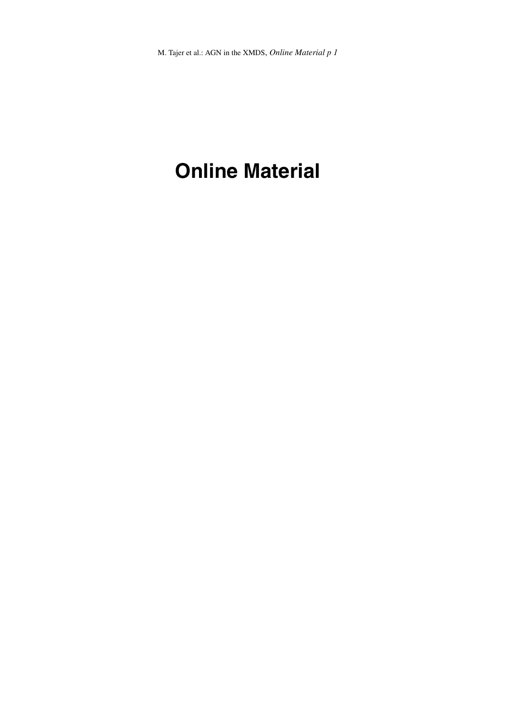# **Online Material**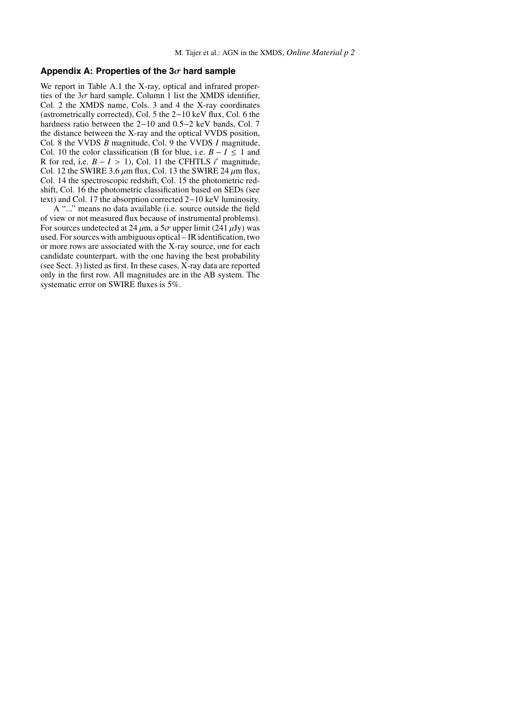## Appendix A: Properties of the  $3\sigma$  hard sample

We report in Table A.1 the X-ray, optical and infrared properties of the  $3\sigma$  hard sample. Column 1 list the XMDS identifier, Col. 2 the XMDS name, Cols. 3 and 4 the X-ray coordinates (astrometrically corrected), Col. 5 the 2-10 keV flux, Col. 6 the hardness ratio between the  $2-10$  and  $0.5-2$  keV bands, Col. 7 the distance between the X-ray and the optical VVDS position, Col. 8 the VVDS B magnitude, Col. 9 the VVDS I magnitude, Col. 10 the color classification (B for blue, i.e.  $B - I \le 1$  and R for red, i.e.  $B - I > 1$ ), Col. 11 the CFHTLS i' magnitude, Col. 12 the SWIRE 3.6  $\mu$ m flux, Col. 13 the SWIRE 24  $\mu$ m flux, Col. 14 the spectroscopic redshift, Col. 15 the photometric redshift, Col. 16 the photometric classification based on SEDs (see text) and Col. 17 the absorption corrected  $2-10 \text{ keV}$  luminosity.

A "..." means no data available (i.e. source outside the field of view or not measured flux because of instrumental problems). For sources undetected at 24  $\mu$ m, a 5 $\sigma$  upper limit (241  $\mu$ Jy) was used. For sources with ambiguous optical - IR identification, two or more rows are associated with the X-ray source, one for each candidate counterpart, with the one having the best probability (see Sect. 3) listed as first. In these cases, X-ray data are reported only in the first row. All magnitudes are in the AB system. The systematic error on SWIRE fluxes is 5%.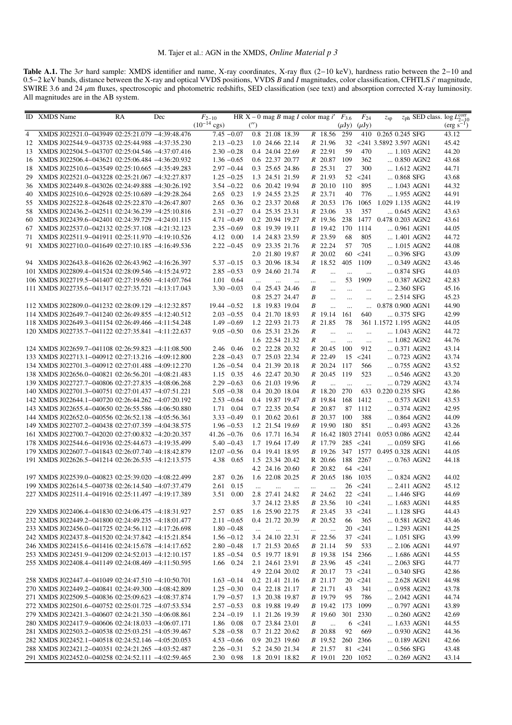**Table A.1.** The  $3\sigma$  hard sample: XMDS identifier and name, X-ray coordinates, X-ray flux (2–10 keV), hardness ratio between the 2–10 and 0.5–2 keV bands, distance between the X-ray and optical VVDS positions, VVDS *B* All magnitudes are in the AB system.

|                | <b>ID</b> XMDS Name |                                                                                                    | RA | Dec | $F_{2-10}$<br>$(10^{-14} \text{ cgs})$ |                | (        |                             |          |          | HR X – 0 mag B mag I color mag i' $F_{3,6}$ | $(\mu Jy)$ | $F_{24}$<br>$(\mu Jy)$ | $z_{sp}$                            | $z_{ph}$ SED class. $log L_{2-10}^{corr}$<br>$(\text{erg } s^{-1})$ |
|----------------|---------------------|----------------------------------------------------------------------------------------------------|----|-----|----------------------------------------|----------------|----------|-----------------------------|----------|----------|---------------------------------------------|------------|------------------------|-------------------------------------|---------------------------------------------------------------------|
| $\overline{4}$ |                     | XMDS J022521.0-043949 02:25:21.079 -4:39:48.476                                                    |    |     |                                        | $7.45 - 0.07$  |          | 0.8 21.08 18.39             |          |          | $R$ 18.56                                   | 259        |                        | 410 0.265 0.245 SFG                 | 43.12                                                               |
|                |                     | 12 XMDS J022544.9-043735 02:25:44.988 -4:37:35.230                                                 |    |     |                                        | $2.13 - 0.23$  |          | 1.0 24.66 22.14             |          |          | $R$ 21.96                                   | 32         |                        | $<$ 241 3.5892 3.597 AGN1           | 45.42                                                               |
| 13             |                     | XMDS J022504.5-043707 02:25:04.546 -4:37:07.416                                                    |    |     |                                        | $2.30 - 0.28$  |          | 0.4 24.04 22.69             |          |          | $R$ 22.91                                   | 59         | 470                    | $ 1.103$ AGN2                       | 44.20                                                               |
|                |                     | 16 XMDS J022506.4-043621 02:25:06.484 -4:36:20.932                                                 |    |     |                                        | $1.36 - 0.65$  |          | 0.6 22.37 20.77             |          |          | $R$ 20.87                                   | 109        | 362                    | $$ 0.850 AGN2                       | 43.68                                                               |
| 18             |                     | XMDS J022510.6-043549 02:25:10.665 -4:35:49.283                                                    |    |     |                                        | $2.97 - 0.44$  |          | 0.3 25.65 24.86             |          |          | B 25.31                                     | 27         | 300                    | $\dots$ 1.612 AGN2                  | 44.71                                                               |
| 29             |                     | XMDS J022521.0-043228 02:25:21.067 -4:32:27.837                                                    |    |     |                                        | $1.25 - 0.25$  |          | 1.3 24.51 21.59             |          |          | $R$ 21.93                                   |            | $52 \le 241$           | $\dots$ 0.868 SFG                   | 43.68                                                               |
|                |                     | 36 XMDS J022449.8-043026 02:24:49.888 -4:30:26.192                                                 |    |     |                                        | $3.54 - 0.22$  |          | 0.6 20.42 19.94             |          |          | B 20.10                                     | 110        | 895                    | $ 1.043$ AGN1                       | 44.32                                                               |
|                |                     |                                                                                                    |    |     |                                        |                |          | 1.9 24.55 23.25             |          |          | R 23.71                                     | 40         | 776                    |                                     | 44.91                                                               |
| 40             |                     | XMDS J022510.6-042928 02:25:10.689 -4:29:28.264<br>XMDS J022522.8-042648 02:25:22.870 -4:26:47.807 |    |     |                                        | 2.65 0.23      |          |                             |          |          |                                             |            |                        | 1.955 AGN2                          |                                                                     |
| 55             |                     |                                                                                                    |    |     | 2.65                                   | 0.36           |          | 0.2 23.37 20.68             |          |          | $R$ 20.53                                   | 176        |                        | 1065 1.029 1.135 AGN2               | 44.19                                                               |
| 58             |                     | XMDS J022436.2-042511 02:24:36.239 -4:25:10.816                                                    |    |     |                                        | $2.31 - 0.27$  |          | 0.4 25.35 23.31             |          |          | $R$ 23.06                                   | 33         | 357                    | $$ 0.645 AGN2                       | 43.63                                                               |
|                |                     | 60 XMDS J022439.6-042401 02:24:39.729 -4:24:01.115                                                 |    |     |                                        | $4.71 - 0.49$  |          | 0.2 20.94 19.27             |          |          | $R$ 19.36                                   | 238        |                        | 1477 0.478 0.203 AGN2               | 43.61                                                               |
| 67             |                     | XMDS J022537.0-042132 02:25:37.108 -4:21:32.123                                                    |    |     |                                        | $2.35 - 0.69$  |          | 0.8 19.39 19.11             |          |          | B 19.42                                     | 170        | 1114                   | $$ 0.961 AGN1                       | 44.05                                                               |
|                |                     | 71 XMDS J022511.9-041911 02:25:11.970 -4:19:10.526                                                 |    |     |                                        | 4.12 0.00      |          | 1.4 24.83 23.59             |          |          | $R$ 23.59                                   | 68         | 805                    | $ 1.401$ AGN2                       | 44.72                                                               |
|                |                     | 91 XMDS J022710.0-041649 02:27:10.185 -4:16:49.536                                                 |    |     |                                        | $2.22 - 0.45$  |          | 0.9 23.35 21.76             |          |          | $R$ 22.24                                   | 57         | 705                    | $\dots$ 1.015 AGN2                  | 44.08                                                               |
|                |                     |                                                                                                    |    |     |                                        |                |          | 2.0 21.80 19.87             |          |          | $R$ 20.02                                   |            | $60 \le 241$           | $\dots$ 0.396 SFG                   | 43.09                                                               |
|                |                     | 94 XMDS J022643.8-041626 02:26:43.962 -4:16:26.397                                                 |    |     |                                        | $5.37 - 0.15$  |          | 0.3 20.96 18.34             |          |          | $R$ 18.52                                   | 405        | 1109                   | $$ 0.349 AGN2                       | 43.46                                                               |
|                |                     | 101 XMDS J022809.4-041524 02:28:09.546 -4:15:24.972                                                |    |     |                                        | $2.85 - 0.53$  |          | 0.9 24.60 21.74             |          | R        | $\cdots$                                    | $\ldots$   | $\ldots$               | $\dots$ 0.874 SFG                   | 44.03                                                               |
|                |                     | 106 XMDS J022719.5-041407 02:27:19.650 -4:14:07.764                                                |    |     |                                        | 1.01 0.64      | $\cdots$ | $\ddotsc$                   | $\cdots$ | $\ldots$ | $\cdots$                                    | 53         | 1909                   | $$ 0.387 AGN2                       | 42.83                                                               |
|                |                     | 111 XMDS J022735.6-041317 02:27:35.721 -4:13:17.043                                                |    |     |                                        | $3.30 - 0.03$  |          | 0.4 25.43 24.46             |          | B        | $\cdots$                                    | $\cdots$   | $\ldots$               | $\dots$ 2.360 SFG                   | 45.16                                                               |
|                |                     |                                                                                                    |    |     |                                        |                |          | 0.8 25.27 24.47             |          | B        | $\cdots$                                    | $\cdots$   | $\ldots$               | 2.514 SFG                           | 45.23                                                               |
|                |                     | 112 XMDS J022809.0-041232 02:28:09.129 -4:12:32.857                                                |    |     |                                        | $19.44 - 0.52$ |          | 1.8 19.83 19.04             |          | B        | $\ddotsc$                                   | $\ddotsc$  | $\ddotsc$              | 0.878 0.900 AGN1                    | 44.90                                                               |
|                |                     | 114 XMDS J022649.7-041240 02:26:49.855 -4:12:40.512                                                |    |     |                                        | $2.03 - 0.55$  |          | 0.4 21.70 18.93             |          |          | $R$ 19.14                                   | 161        | 640                    | $\dots$ 0.375 SFG                   | 42.99                                                               |
|                |                     | 118 XMDS J022649.3-041154 02:26:49.466 -4:11:54.248                                                |    |     |                                        | $1.49 - 0.69$  |          | 1.2 22.93 21.73             |          |          | $R$ 21.85                                   | 78         |                        | 361 1.1572 1.195 AGN2               | 44.05                                                               |
|                |                     | 120 XMDS J022735.7-041122 02:27:35.841 -4:11:22.637                                                |    |     |                                        | $9.05 - 0.50$  |          | 0.6 25.31 23.26             |          | R        | $\ddotsc$                                   | $\ldots$   | $\ddotsc$              | $ 1.043$ AGN2                       | 44.72                                                               |
|                |                     |                                                                                                    |    |     |                                        |                |          | 1.6 22.54 21.32             |          | R        | $\ddotsc$                                   | $\ddots$   | $\ddots$               | $ 1.082$ AGN2                       | 44.76                                                               |
|                |                     | 124 XMDS J022659.7-041108 02:26:59.823 -4:11:08.500                                                |    |     |                                        | 2.46 0.46      |          | 0.2 22.28 20.32             |          |          | $R$ 20.45                                   | 100        | 912                    | $ 0.371$ AGN2                       | 43.14                                                               |
|                |                     | 133 XMDS J022713.1-040912 02:27:13.216 -4:09:12.800                                                |    |     |                                        | $2.28 - 0.43$  |          | 0.7 25.03 22.34             |          |          | $R$ 22.49                                   |            | $15 \le 241$           | $ 0.723$ AGN2                       | 43.74                                                               |
|                |                     | 134 XMDS J022701.3-040912 02:27:01.488 -4:09:12.270                                                |    |     |                                        | $1.26 - 0.54$  |          | 0.4 21.39 20.18             |          |          | $R$ 20.24                                   | 117        | 566                    | $$ 0.755 AGN2                       | 43.52                                                               |
|                |                     | 138 XMDS J022656.0-040821 02:26:56.201 -4:08:21.483                                                |    |     |                                        | 1.15 0.35      |          | 4.6 22.47 20.30             |          |          | $R$ 20.45                                   | 119        | 523                    | $$ 0.546 AGN2                       | 43.20                                                               |
|                |                     | 139 XMDS J022727.7-040806 02:27:27.835 -4:08:06.268                                                |    |     |                                        | $2.29 - 0.63$  |          | 0.6 21.03 19.96             |          | R        | $\ddotsc$                                   | $\ddotsc$  | $\ddots$               | $$ 0.729 AGN2                       | 43.74                                                               |
|                |                     | 140 XMDS J022701.3-040751 02:27:01.437 -4:07:51.221                                                |    |     |                                        | $5.05 - 0.38$  |          | 0.4 20.20 18.04             |          |          | $R$ 18.20                                   | 270        |                        | 633 0.220 0.235 SFG                 | 42.86                                                               |
|                |                     | 142 XMDS J022644.1-040720 02:26:44.262 -4:07:20.192                                                |    |     |                                        | $2.53 - 0.64$  |          | 0.4 19.87 19.47             |          |          | B 19.84                                     | 168        | 1412                   | $$ 0.573 AGN1                       | 43.53                                                               |
|                |                     | 143 XMDS J022655.4-040650 02:26:55.586 -4:06:50.880                                                |    |     |                                        | 1.71 0.04      |          | 0.7 22.35 20.54             |          |          | $R$ 20.87                                   | 87         | 1112                   | $ 0.374$ AGN2                       | 42.95                                                               |
|                |                     | 144 XMDS J022652.0-040556 02:26:52.138 -4:05:56.361                                                |    |     |                                        | $3.33 - 0.49$  |          | $0.1$ 20.62 20.61           |          |          | B 20.37                                     | 100        | 388                    | $$ 0.864 AGN2                       | 44.09                                                               |
|                |                     | 149 XMDS J022707.2-040438 02:27:07.359 -4:04:38.575                                                |    |     |                                        | $1.96 - 0.53$  |          | 1.2 21.54 19.69             |          |          | $R$ 19.90                                   | 180        | 851                    | 0.493 AGN2                          | 43.26                                                               |
|                |                     | 161 XMDS J022700.7-042020 02:27:00.832 -4:20:20.357                                                |    |     |                                        | $41.26 - 0.76$ |          | 0.6 17.71 16.34             |          |          |                                             |            |                        | R 16.42 1803 27141 0.053 0.086 AGN2 | 42.44                                                               |
|                |                     | 178 XMDS J022544.6-041936 02:25:44.673 -4:19:35.499                                                |    |     |                                        | $5.40 - 0.43$  |          | 1.7 19.64 17.49             |          |          | R 17.79                                     |            | $285 \le 241$          | $\dots$ 0.059 SFG                   | 41.66                                                               |
|                |                     | 179 XMDS J022607.7-041843 02:26:07.740 -4:18:42.879                                                |    |     |                                        | $12.07 - 0.56$ |          | 0.4 19.41 18.95             |          |          | $B$ 19.26                                   |            |                        | 347 1577 0.495 0.328 AGN1           | 44.05                                                               |
|                |                     | 191 XMDS J022626.5-041214 02:26:26.535 -4:12:13.575                                                |    |     | 4.38                                   | 0.65           |          | 1.5 23.34 20.42             |          |          | R 20.66                                     | 188        | 2267                   | $ 0.763$ AGN2                       | 44.18                                                               |
|                |                     |                                                                                                    |    |     |                                        |                |          | 4.2 24.16 20.60             |          |          | $R$ 20.82                                   |            | $64 \le 241$           | $\cdots$                            |                                                                     |
|                |                     | 197 XMDS J022539.0-040823 02:25:39.020 -4:08:22.499                                                |    |     | 2.87                                   | 0.26           |          | 1.6 22.08 20.25             |          |          | $R$ 20.65                                   |            | 186 1035               | $$ 0.824 AGN2                       | 44.02                                                               |
|                |                     | 199 XMDS J022614.5-040738 02:26:14.540 -4:07:37.479                                                |    |     | 2.61                                   | 0.15           | $\cdots$ | $\cdots$                    | $\ldots$ | $\cdots$ | $\cdots$                                    |            | 26 < 241               | 2.411 AGN2                          | 45.12                                                               |
|                |                     | 227 XMDS J022511.4-041916 02:25:11.497 -4:19:17.389                                                |    |     | 3.51                                   | 0.00           |          | 2.8 27.41 24.82             |          |          | $R$ 24.62                                   |            | 22 < 241               | 1.446 SFG                           | 44.69                                                               |
|                |                     |                                                                                                    |    |     |                                        |                |          | 3.7 24.12 23.85             |          |          | <i>B</i> 23.56                              |            | $10 \le 241$           | $\dots$ 1.683 AGN1                  | 44.85                                                               |
|                |                     | 229 XMDS J022406.4-041830 02:24:06.475 -4:18:31.927                                                |    |     |                                        | 2.57 0.85      |          | 1.6 25.90 22.75             |          |          | $R$ 23.45                                   |            | $33 \le 241$           | $ 1.128$ SFG                        | 44.43                                                               |
|                |                     | 232 XMDS J022449.2-041800 02:24:49.235 -4:18:01.477                                                |    |     |                                        | $2.11 - 0.65$  |          | 0.4 21.72 20.39             |          |          | $R$ 20.52                                   | 66         | 365                    | $$ 0.581 AGN2                       | 43.46                                                               |
|                |                     | 233 XMDS J022456.0-041725 02:24:56.112 -4:17:26.698                                                |    |     |                                        | $1.80 - 0.48$  |          |                             |          |          |                                             |            | $20 \le 241$           | 1.293 AGN1                          | 44.25                                                               |
|                |                     | 242 XMDS J022437.8-041520 02:24:37.842 -4:15:21.854                                                |    |     |                                        | $1.56 - 0.12$  | $\cdots$ | $\ldots$<br>3.4 24.10 22.31 | $\cdots$ | $\cdots$ | $\ddotsc$<br>$R$ 22.56                      |            | $37 \le 241$           | $\dots$ 1.051 SFG                   | 43.99                                                               |
|                |                     | 246 XMDS J022415.6-041416 02:24:15.678 -4:14:17.652                                                |    |     |                                        | $2.80 - 0.48$  |          | 1.7 21.53 20.65             |          |          | <i>B</i> 21.14                              | 59         | 533                    | $ 2.106$ AGN1                       | 44.97                                                               |
|                |                     | 253 XMDS J022451.9-041209 02:24:52.013 -4:12:10.157                                                |    |     |                                        | $1.85 - 0.54$  |          | 0.5 19.77 18.91             |          |          | <i>B</i> 19.38                              |            | 154 2366               | $\dots$ 1.686 AGN1                  | 44.55                                                               |
|                |                     | 255 XMDS J022408.4-041149 02:24:08.469 -4:11:50.595                                                |    |     |                                        |                |          |                             |          |          | B 23.96                                     |            | 45 <241                |                                     |                                                                     |
|                |                     |                                                                                                    |    |     |                                        | 1.66 0.24      |          | 2.1 24.61 23.91             |          |          |                                             |            |                        | $\dots$ 2.063 SFG                   | 44.77                                                               |
|                |                     |                                                                                                    |    |     |                                        |                |          | 4.9 22.04 20.02             |          |          | $R$ 20.17                                   |            | $73 \le 241$           | $$ 0.340 SFG                        | 42.86                                                               |
|                |                     | 258 XMDS J022447.4-041049 02:24:47.510 -4:10:50.701                                                |    |     |                                        | $1.63 - 0.14$  |          | 0.2 21.41 21.16             |          |          | B 21.17                                     |            | $20 \le 241$           | $\dots$ 2.628 AGN1                  | 44.98                                                               |
|                |                     | 270 XMDS J022449.2-040841 02:24:49.300 -4:08:42.809                                                |    |     |                                        | $1.25 - 0.30$  |          | 0.4 22.18 21.17             |          |          | $R$ 21.71                                   | 43         | 341                    | $$ 0.958 AGN2                       | 43.78                                                               |
|                |                     | 271 XMDS J022509.5-040836 02:25:09.623 -4:08:37.874                                                |    |     |                                        | $1.79 - 0.57$  |          | 1.3 20.38 19.87             |          |          | B 19.79                                     | 95         | 786                    | 2.042 AGN1                          | 44.74                                                               |
|                |                     | 272 XMDS J022501.6-040752 02:25:01.725 -4:07:53.534                                                |    |     |                                        | $2.57 - 0.53$  |          | 0.8 19.88 19.49             |          |          | B 19.42                                     | 173        | 1099                   | $ 0.797$ AGN1                       | 43.89                                                               |
|                |                     | 279 XMDS J022421.3-040607 02:24:21.350 -4:06:08.861                                                |    |     |                                        | $2.24 - 0.19$  |          | 1.1 21.26 19.39             |          |          | $R$ 19.60                                   |            | 301 2330               | $$ 0.260 AGN2                       | 42.69                                                               |
|                |                     | 280 XMDS J022417.9-040606 02:24:18.033 -4:06:07.171                                                |    |     |                                        | 1.86 0.08      |          | 0.7 23.84 23.01             |          | B        | $\cdots$                                    |            | $6 \le 241$            | $\dots$ 1.633 AGN1                  | 44.55                                                               |
|                |                     | 281 XMDS J022503.2-040538 02:25:03.251 -4:05:39.467                                                |    |     |                                        | $5.28 - 0.58$  |          | 0.7 21.22 20.62             |          |          | B 20.88                                     | 92         | 669                    | $$ 0.930 AGN2                       | 44.36                                                               |
|                |                     | 282 XMDS J022452.1-040518 02:24:52.146 -4:05:20.053                                                |    |     |                                        | $4.53 - 0.66$  |          | 0.9 20.23 19.60             |          |          | <i>B</i> 19.52                              |            | 260 2366               | $$ 0.189 AGN1                       | 42.66                                                               |
|                |                     | 288 XMDS J022421.2-040351 02:24:21.265 -4:03:52.487                                                |    |     |                                        | $2.26 - 0.31$  |          | 5.2 24.50 21.34             |          |          | $R$ 21.57                                   |            | $81 \le 241$           | $\dots$ 0.566 SFG                   | 43.48                                                               |
|                |                     | 291 XMDS J022452.0-040258 02:24:52.111 -4:02:59.465                                                |    |     |                                        | 2.30 0.98      |          | 1.8 20.91 18.82             |          |          | $R$ 19.01                                   |            | 220 1052               | $$ 0.269 AGN2                       | 43.14                                                               |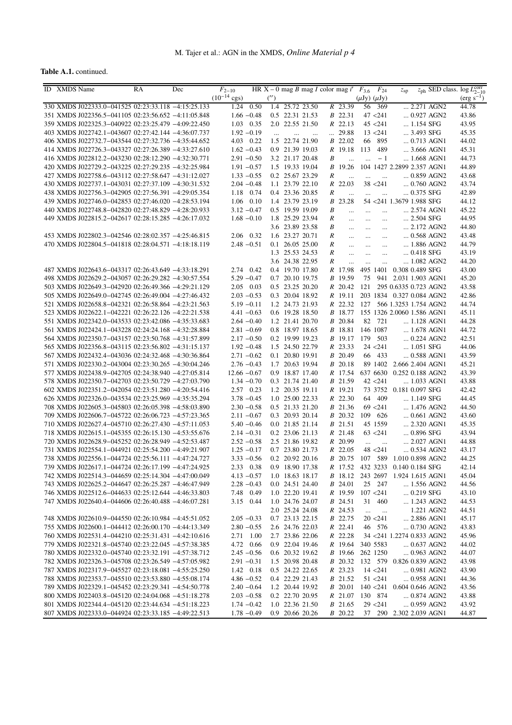## Table A.1. continued.

| ID XMDS Name                                        | RA | Dec | $F_{2-10}$               |                   |          |                 |                   |                  | HR X – 0 mag B mag I color mag i' $F_{3,6}$ $F_{24}$ |                       |                  | $z_{sp}$                          |            | $z_{ph}$ SED class. $log L_{2-10}^{corr}$ |
|-----------------------------------------------------|----|-----|--------------------------|-------------------|----------|-----------------|-------------------|------------------|------------------------------------------------------|-----------------------|------------------|-----------------------------------|------------|-------------------------------------------|
|                                                     |    |     | $(10^{-14} \text{ cgs})$ |                   | (        |                 |                   |                  |                                                      | $(\mu Jy)$ $(\mu Jy)$ |                  |                                   |            | $(\text{erg } s^{-1})$                    |
| 330 XMDS J022333.0-041525 02:23:33.118 -4:15:25.133 |    |     | 1.24                     | 0.50              |          |                 | 1.4 25.72 23.50   |                  | $R$ 23.39                                            |                       | 56 369           | 2.271 AGN2                        |            | 44.78                                     |
| 351 XMDS J022356.5-041105 02:23:56.652 -4:11:05.848 |    |     |                          | $1.66 - 0.48$     |          |                 | 0.5 22.31 21.53   |                  | <i>B</i> 22.31                                       |                       | 47 < 241         | $$ 0.927 AGN2                     |            | 43.86                                     |
| 359 XMDS J022325.3-040922 02:23:25.479 -4:09:22.450 |    |     |                          | 1.03 0.35         |          |                 | 2.0 22.55 21.50   |                  | $R$ 22.13                                            |                       | 45 < 241         | $\dots$ 1.154 SFG                 |            | 43.95                                     |
|                                                     |    |     |                          | $1.92 - 0.19$     |          |                 |                   |                  |                                                      |                       |                  |                                   |            |                                           |
| 403 XMDS J022742.1-043607 02:27:42.144 -4:36:07.737 |    |     |                          |                   | $\cdots$ | $\cdots$        | $\cdots$          |                  | $\ldots$ 29.88                                       |                       | 13 < 241         | $ 3.493$ SFG                      |            | 45.35                                     |
| 406 XMDS J022732.7-043544 02:27:32.736 -4:35:44.652 |    |     |                          | 4.03 0.22         |          |                 | 1.5 22.74 21.90   |                  | B 22.02                                              |                       | 66 895           | $ 0.713$ AGN1                     |            | 44.02                                     |
| 414 XMDS J022726.3-043327 02:27:26.389 -4:33:27.610 |    |     |                          | $1.62 - 0.43$     |          |                 | 0.9 21.39 19.03   |                  | $R$ 19.18                                            | 113 489               |                  | $$ 3.666 AGN1                     |            | 45.31                                     |
| 416 XMDS J022812.2-043230 02:28:12.290 -4:32:30.771 |    |     |                          | $2.91 - 0.50$     |          |                 | 3.2 21.17 20.48   | B                | $\ldots$                                             | $\mathbf{r}$          | $-1$             | $\dots$ 1.668 AGN1                |            | 44.73                                     |
| 420 XMDS J022729.2-043225 02:27:29.235 -4:32:25.984 |    |     |                          | $1.91 - 0.57$     |          | 1.5 19.33 19.04 |                   |                  | <i>B</i> 19.26                                       |                       |                  | 104 1427 2.2899 2.357 AGN1        |            | 44.89                                     |
| 427 XMDS J022758.6-043112 02:27:58.647 -4:31:12.027 |    |     |                          | $1.33 - 0.55$     |          |                 | 0.2 25.67 23.29   | R                |                                                      |                       |                  |                                   | 0.859 AGN2 | 43.68                                     |
|                                                     |    |     |                          |                   |          |                 |                   |                  | $\ldots$                                             | $\ldots$              | $\ldots$         |                                   |            |                                           |
| 430 XMDS J022737.1-043031 02:27:37.109 -4:30:31.532 |    |     |                          | $2.04 - 0.48$     |          |                 | 1.1 23.79 22.10   |                  | $R$ 22.03                                            |                       | 38 < 241         | $$ 0.760 AGN2                     |            | 43.74                                     |
| 438 XMDS J022756.3-042905 02:27:56.391 -4:29:05.354 |    |     |                          | 1.18 0.74         |          |                 | 0.4 23.36 20.85   | $\boldsymbol{R}$ | $\ldots$                                             | $\cdots$              | $\ldots$         | $\dots$ 0.375 SFG                 |            | 42.89                                     |
| 439 XMDS J022746.0-042853 02:27:46.020 -4:28:53.194 |    |     |                          | 1.06 0.10         |          |                 | 1.4 23.79 23.19   |                  | B 23.28                                              |                       |                  | 54 < 241 1.3679 1.988 SFG         |            | 44.12                                     |
| 440 XMDS J022748.8-042820 02:27:48.829 -4:28:20.933 |    |     |                          | $3.12 - 0.47$     |          |                 | 0.5 19.59 19.09   | B                | $\cdots$                                             | $\ldots$              | $\ldots$         | $\ldots$ 2.574 AGN1               |            | 45.22                                     |
| 449 XMDS J022815.2-042617 02:28:15.285 -4:26:17.032 |    |     |                          | $1.68 - 0.10$     |          |                 | 1.8 25.29 23.94   | $\boldsymbol{R}$ |                                                      |                       |                  | $\dots$ 2.504 SFG                 |            | 44.95                                     |
|                                                     |    |     |                          |                   |          |                 |                   |                  | $\cdots$                                             | $\cdots$              | $\cdots$         |                                   |            |                                           |
|                                                     |    |     |                          |                   |          |                 | 3.6 23.89 23.58   | B                | $\cdots$                                             | $\ddots$              | $\ddots$         | 2.172 AGN2                        |            | 44.80                                     |
| 453 XMDS J022802.3-042546 02:28:02.357 -4:25:46.815 |    |     |                          | 2.06 0.32         |          | 1.6 23.27 20.71 |                   | $\boldsymbol{R}$ | $\cdots$                                             | $\ldots$              | $\cdots$         | $$ 0.568 AGN2                     |            | 43.48                                     |
| 470 XMDS J022804.5-041818 02:28:04.571 -4:18:18.119 |    |     |                          | $2.48 - 0.51$     |          |                 | $0.1$ 26.05 25.00 | R                | $\cdots$                                             | $\cdots$              | $\ddots$         | $\dots$ 1.886 AGN2                |            | 44.79                                     |
|                                                     |    |     |                          |                   |          |                 | 1.3 25.53 24.53   | R                | $\cdots$                                             | $\cdots$              | $\cdots$         | $\dots$ 0.418 SFG                 |            | 43.19                                     |
|                                                     |    |     |                          |                   |          | 3.6 24.38 22.95 |                   | R                | $\dddotsc$                                           | $\cdots$              | $\ddots$         | $ 1.082$ AGN2                     |            | 44.20                                     |
| 487 XMDS J022643.6-043317 02:26:43.649 -4:33:18.291 |    |     |                          |                   |          |                 |                   |                  |                                                      |                       |                  |                                   |            |                                           |
|                                                     |    |     |                          | 2.74 0.42         |          |                 | 0.4 19.70 17.80   |                  | R 17.98                                              |                       |                  | 495 1401 0.308 0.489 SFG          |            | 43.00                                     |
| 498 XMDS J022629.2-043057 02:26:29.282 -4:30:57.554 |    |     |                          | $5.29 - 0.47$     |          |                 | 0.7 20.10 19.75   |                  | B 19.59                                              |                       |                  | 75 941 2.031 1.903 AGN1           |            | 45.20                                     |
| 503 XMDS J022649.3-042920 02:26:49.366 -4:29:21.129 |    |     |                          | $2.05 \quad 0.03$ |          |                 | 0.5 23.25 20.20   |                  |                                                      |                       |                  | R 20.42 121 295 0.6335 0.723 AGN2 |            | 43.58                                     |
| 505 XMDS J022649.0-042745 02:26:49.004 -4:27:46.432 |    |     |                          | $2.03 - 0.53$     |          |                 | 0.3 20.04 18.92   |                  | $R$ 19.11                                            |                       |                  | 203 1834 0.327 0.084 AGN2         |            | 42.86                                     |
| 521 XMDS J022658.8-042321 02:26:58.864 -4:23:21.563 |    |     |                          | $5.19 - 0.11$     |          |                 | 1.2 24.73 21.93   |                  |                                                      |                       |                  | R 22.32 127 566 1.3253 1.754 AGN2 |            | 44.74                                     |
| 523 XMDS J022622.1-042221 02:26:22.126 -4:22:21.538 |    |     |                          | $4.41 - 0.63$     |          |                 | 0.6 19.28 18.50   |                  | <i>B</i> 18.77                                       |                       |                  | 155 1326 2.0060 1.586 AGN1        |            | 45.11                                     |
|                                                     |    |     |                          |                   |          |                 |                   |                  |                                                      |                       | 82 721           |                                   |            |                                           |
| 551 XMDS J022342.0-043533 02:23:42.086 -4:35:33.683 |    |     |                          | $2.64 - 0.40$     |          |                 | 1.2 21.41 20.70   |                  | B 20.84                                              |                       |                  | 1.128 AGN1                        |            | 44.28                                     |
| 561 XMDS J022424.1-043228 02:24:24.168 -4:32:28.884 |    |     |                          | $2.81 - 0.69$     |          |                 | 0.8 18.97 18.65   |                  | <i>B</i> 18.81                                       | 146 1087              |                  | $\dots$ 1.678 AGN1                |            | 44.72                                     |
| 564 XMDS J022350.7-043157 02:23:50.768 -4:31:57.899 |    |     |                          | $2.17 - 0.50$     |          | 0.2 19.99 19.23 |                   |                  | <i>B</i> 19.17                                       | 179 503               |                  | $\dots$ 0.224 AGN2                |            | 42.51                                     |
| 565 XMDS J022356.8-043115 02:23:56.802 -4:31:15.137 |    |     |                          | $1.92 - 0.48$     |          | 1.5 24.50 22.79 |                   |                  | $R$ 23.33                                            |                       | 24 < 241         | $\dots$ 1.051 SFG                 |            | 44.06                                     |
| 567 XMDS J022432.4-043036 02:24:32.468 -4:30:36.864 |    |     |                          | $2.71 - 0.62$     |          | 0.1 20.80 19.91 |                   |                  | B 20.49                                              |                       | 66 433           | $\dots$ 0.588 AGN1                |            | 43.59                                     |
| 571 XMDS J022330.2-043004 02:23:30.265 -4:30:04.246 |    |     |                          | $2.76 - 0.43$     |          | 1.7 20.63 19.94 |                   |                  | B 20.18                                              |                       | 89 1402          | 2.666 2.404 AGN1                  |            | 45.21                                     |
|                                                     |    |     |                          |                   |          |                 |                   |                  |                                                      |                       |                  |                                   |            |                                           |
| 577 XMDS J022438.9-042705 02:24:38.940 -4:27:05.814 |    |     |                          | $12.66 - 0.67$    |          |                 | 0.9 18.87 17.40   |                  | $R$ 17.54                                            |                       | 637 6630         | 0.252 0.188 AGN2                  |            | 43.39                                     |
| 578 XMDS J022350.7-042703 02:23:50.729 -4:27:03.790 |    |     |                          | $1.34 - 0.70$     |          |                 | 0.3 21.74 21.40   |                  | B 21.59                                              |                       | 42 < 241         |                                   | 1.033 AGN1 | 43.88                                     |
| 602 XMDS J022351.2-042054 02:23:51.280 -4:20:54.416 |    |     |                          | 2.57 0.23         |          | 1.2 20.35 19.11 |                   |                  | $R$ 19.21                                            |                       | 73 3752          | 0.181 0.097 SFG                   |            | 42.42                                     |
| 626 XMDS J022326.0-043534 02:23:25.969 -4:35:35.294 |    |     |                          | $3.78 - 0.45$     |          | 1.0 25.00 22.33 |                   |                  | $R$ 22.30                                            |                       | 64 409           | $\dots$ 1.149 SFG                 |            | 44.45                                     |
| 708 XMDS J022605.3-045803 02:26:05.398 -4:58:03.890 |    |     |                          | $2.30 - 0.58$     |          |                 | 0.5 21.33 21.20   |                  | B 21.36                                              |                       | 69 < 241         | 1.476 AGN2                        |            | 44.50                                     |
| 709 XMDS J022606.7-045722 02:26:06.723 -4:57:23.365 |    |     |                          | $2.11 - 0.67$     |          |                 | 0.3 20.93 20.14   |                  | B 20.32                                              |                       | 109 626          | $\dots$ 0.661 AGN2                |            | 43.60                                     |
|                                                     |    |     |                          |                   |          |                 |                   |                  |                                                      |                       |                  |                                   |            |                                           |
| 710 XMDS J022627.4-045710 02:26:27.430 -4:57:11.053 |    |     |                          | $5.40 - 0.46$     |          |                 | 0.0 21.85 21.14   |                  | B 21.51                                              |                       | 45 1559          | $ 2.320$ AGN1                     |            | 45.35                                     |
| 718 XMDS J022615.1-045355 02:26:15.130 -4:53:55.676 |    |     |                          | $2.14 - 0.31$     |          | 0.2 23.06 21.13 |                   |                  | $R$ 21.48                                            |                       | 63 < 241         | $\dots$ 0.896 SFG                 |            | 43.94                                     |
| 720 XMDS J022628.9-045252 02:26:28.949 -4:52:53.487 |    |     |                          | $2.52 - 0.58$     |          |                 | 2.5 21.86 19.82   |                  | $R$ 20.99                                            | $\cdots$              | $\cdots$         | $ 2.027$ AGN1                     |            | 44.88                                     |
| 731 XMDS J022554.1-044921 02:25:54.200 -4:49:21.907 |    |     |                          | $1.25 - 0.17$     |          |                 | 0.7 23.80 21.73   |                  | $R$ 22.05                                            |                       | 48 < 241         | $$ 0.534 AGN2                     |            | 43.17                                     |
| 738 XMDS J022556.1-044724 02:25:56.111 -4:47:24.727 |    |     |                          | $3.33 - 0.56$     |          |                 | 0.2 20.92 20.16   |                  |                                                      |                       |                  | B 20.75 107 589 1.010 0.898 AGN2  |            | 44.25                                     |
| 739 XMDS J022617.1-044724 02:26:17.199 -4:47:24.925 |    |     |                          | 2.33 0.38         |          |                 | 0.9 18.90 17.38   |                  |                                                      |                       |                  | R 17.52 432 3233 0.140 0.184 SFG  |            | 42.14                                     |
|                                                     |    |     |                          |                   |          |                 |                   |                  |                                                      |                       |                  |                                   |            |                                           |
| 742 XMDS J022514.3-044659 02:25:14.304 -4:47:00.049 |    |     |                          | $4.13 - 0.57$     |          | 1.0 18.63 18.17 |                   |                  |                                                      |                       |                  | B 18.12 243 2697 1.924 1.615 AGN1 |            | 45.04                                     |
| 743 XMDS J022625.2-044647 02:26:25.287 -4:46:47.949 |    |     |                          | $2.28 - 0.43$     |          |                 | 0.0 24.51 24.40   |                  | <i>B</i> 24.01                                       |                       | 25 247           | 1.556 AGN2                        |            | 44.56                                     |
| 746 XMDS J022512.6-044633 02:25:12.644 -4:46:33.803 |    |     |                          | 7.48 0.49         |          | 1.0 22.20 19.41 |                   |                  | $R$ 19.59 107 < 241                                  |                       |                  | $\dots$ 0.219 SFG                 |            | 43.10                                     |
| 747 XMDS J022640.4-044606 02:26:40.488 -4:46:07.281 |    |     |                          | 3.15 0.44         |          | 1.0 24.76 24.07 |                   |                  | <i>B</i> 24.51                                       |                       | 31 460           | $ 1.243$ AGN2                     |            | 44.53                                     |
|                                                     |    |     |                          |                   |          | 2.0 25.24 24.08 |                   |                  | $R$ 24.53                                            | $\cdots$              | $\sim$ 100 $\mu$ |                                   | 1.221 AGN2 | 44.51                                     |
|                                                     |    |     |                          |                   |          |                 |                   |                  |                                                      |                       |                  |                                   |            |                                           |
| 748 XMDS J022610.9-044550 02:26:10.984 -4:45:51.052 |    |     |                          | $2.05 - 0.33$     |          |                 | 0.7 23.13 22.15   |                  | B 22.75                                              |                       | 20 < 241         | $ 2.886$ AGN1                     |            | 45.17                                     |
| 755 XMDS J022600.1-044412 02:26:00.170 -4:44:13.349 |    |     |                          | $2.80 - 0.55$     |          | 2.6 24.76 22.03 |                   |                  | $R$ 22.41                                            |                       | 46 576           | $$ 0.730 AGN2                     |            | 43.83                                     |
| 760 XMDS J022531.4-044210 02:25:31.431 -4:42:10.616 |    |     |                          | 2.71 1.00         |          |                 | 2.7 23.86 22.06   |                  | $R$ 22.28                                            |                       |                  | 34 < 241 1.2274 0.833 AGN2        |            | 45.96                                     |
| 779 XMDS J022321.8-045740 02:23:22.045 -4:57:38.385 |    |     |                          | 4.72 0.66         |          |                 | 0.9 22.04 19.46   |                  | $R$ 19.64                                            | 340 5583              |                  | $$ 0.637 AGN2                     |            | 44.02                                     |
| 780 XMDS J022332.0-045740 02:23:32.191 -4:57:38.712 |    |     |                          | $2.45 - 0.56$     |          |                 | 0.6 20.32 19.62   |                  | B 19.66 262 1250                                     |                       |                  | $\dots$ 0.963 AGN2                |            | 44.07                                     |
| 782 XMDS J022326.3-045708 02:23:26.549 -4:57:05.982 |    |     |                          | $2.91 - 0.31$     |          |                 | 1.5 20.98 20.48   |                  |                                                      |                       |                  | B 20.32 132 579 0.826 0.839 AGN2  |            | 43.98                                     |
|                                                     |    |     |                          |                   |          |                 |                   |                  |                                                      |                       |                  |                                   |            |                                           |
| 787 XMDS J022317.9-045527 02:23:18.081 -4:55:25.250 |    |     |                          | 1.42 0.18         |          |                 | 0.5 24.22 22.65   |                  | $R$ 23.23                                            |                       | 14 < 241         | $$ 0.981 AGN2                     |            | 43.90                                     |
| 788 XMDS J022353.7-045510 02:23:53.880 -4:55:08.174 |    |     |                          | $4.86 - 0.52$     |          |                 | 0.4 22.29 21.43   |                  | B 21.52                                              |                       | 51 < 241         | $\dots$ 0.958 AGN1                |            | 44.36                                     |
| 789 XMDS J022329.1-045452 02:23:29.341 -4:54:50.778 |    |     |                          | $2.40 - 0.64$     |          |                 | 1.2 20.44 19.92   |                  | <i>B</i> 20.01                                       |                       | 140 <241         | 0.604 0.646 AGN2                  |            | 43.56                                     |
| 800 XMDS J022403.8-045120 02:24:04.068 -4:51:18.278 |    |     |                          | $2.03 - 0.58$     |          | 0.2 22.70 20.95 |                   |                  | R 21.07 130 874                                      |                       |                  | $\dots$ 0.874 AGN2                |            | 43.88                                     |
| 801 XMDS J022344.4-045120 02:23:44.634 -4:51:18.223 |    |     |                          | $1.74 - 0.42$     |          |                 | 1.0 22.36 21.50   |                  | <i>B</i> 21.65                                       |                       | 29 < 241         | $$ 0.959 AGN2                     |            | 43.92                                     |
| 807 XMDS J022333.0-044924 02:23:33.185 -4:49:22.513 |    |     |                          | $1.78 - 0.49$     |          |                 | 0.9 20.66 20.26   |                  |                                                      |                       |                  | B 20.22 37 290 2.302 2.039 AGN1   |            | 44.87                                     |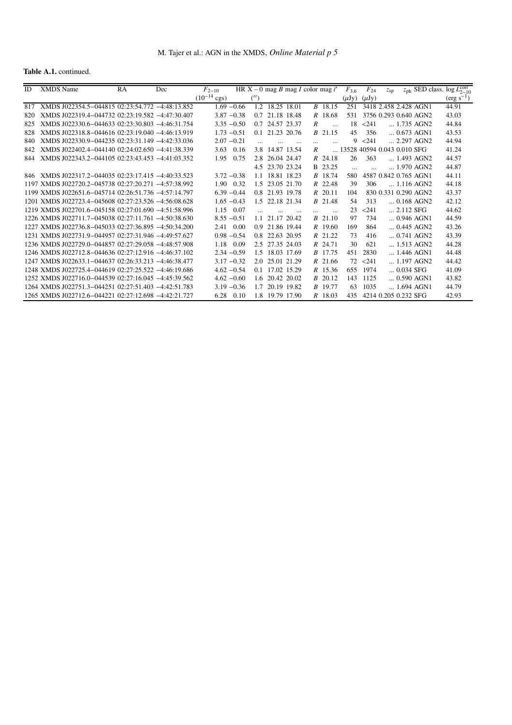## Table A.1. continued.

| ID  | <b>XMDS</b> Name                                     | RA | Dec | $F_{2-10}$               |               | HR $X - 0$ mag B mag I color mag i' |                 |             |                  |                | $F_{3,6}$  | $F_{24}$   | $z_{sp}$                    |                     | $z_{ph}$ SED class. log $L_{2-10}^{corr}$ |
|-----|------------------------------------------------------|----|-----|--------------------------|---------------|-------------------------------------|-----------------|-------------|------------------|----------------|------------|------------|-----------------------------|---------------------|-------------------------------------------|
|     |                                                      |    |     | $(10^{-14} \text{ cgs})$ |               | $($ ")                              |                 |             |                  |                | $(\mu Jy)$ | $(\mu Jy)$ |                             |                     | $\left(\text{erg s}^{-1}\right)$          |
| 817 | XMDS J022354.5-044815 02:23:54.772 -4:48:13.852      |    |     |                          | $1.69 - 0.66$ | 1.2                                 | 18.25 18.01     |             |                  | <i>B</i> 18.15 | 251        |            | 3418 2.458 2.428 AGN1       |                     | 44.91                                     |
| 820 | XMDS J022319.4-044732 02:23:19.582 -4:47:30.407      |    |     |                          | $3.87 - 0.38$ | 0.7                                 | 21.18 18.48     |             |                  | $R$ 18.68      | 531        |            | 3756 0.293 0.640 AGN2       |                     | 43.03                                     |
| 825 | XMDS J022330.6-044633 02:23:30.803 -4:46:31.754      |    |     |                          | $3.35 - 0.50$ | 0.7                                 | 24.57 23.37     |             | R                | $\ddotsc$      | 18         | < 241      |                             | 1.735 AGN2          | 44.84                                     |
| 828 | XMDS J022318.8-044616 02:23:19.040 -4:46:13.919      |    |     |                          | $1.73 - 0.51$ | 0.1                                 | 21.23 20.76     |             |                  | <i>B</i> 21.15 | 45         | 356        |                             | $\dots$ 0.673 AGN1  | 43.53                                     |
| 840 | XMDS J022330.9-044235 02:23:31.149 -4:42:33.036      |    |     |                          | $2.07 - 0.21$ |                                     |                 | $\cdots$    | $\cdots$         |                | 9          | < 241      |                             | $\ldots$ 2.297 AGN2 | 44.94                                     |
| 842 | XMDS J022402.4-044140 02:24:02.650 -4:41:38.339      |    |     | 3.63                     | 0.16          | 3.8                                 |                 | 14.87 13.54 | $\boldsymbol{R}$ |                |            |            | 13528 40594 0.043 0.010 SFG |                     | 41.24                                     |
| 844 | XMDS J022343.2-044105 02:23:43.453 -4:41:03.352      |    |     | 1.95                     | 0.75          | 2.8                                 | 26.04 24.47     |             |                  | $R$ 24.18      | 26         | 363        |                             | $ 1.493$ AGN2       | 44.57                                     |
|     |                                                      |    |     |                          |               | 4.5                                 | 23.70 23.24     |             |                  | B 23.25        | $\cdots$   |            |                             | $\ldots$ 1.970 AGN2 | 44.87                                     |
| 846 | XMDS J022317.2-044035 02:23:17.415 -4:40:33.523      |    |     |                          | $3.72 - 0.38$ | 1.1                                 |                 | 18.81 18.23 |                  | B 18.74        | 580        |            | 4587 0.842 0.765 AGN1       |                     | 44.11                                     |
|     | 1197 XMDS J022720.2-045738 02:27:20.271 -4:57:38.992 |    |     | 1.90                     | 0.32          | 1.5                                 |                 | 23.05 21.70 |                  | $R$ 22.48      | 39         | 306        |                             | $\dots$ 1.116 AGN2  | 44.18                                     |
|     | 1199 XMDS J022651.6-045714 02:26:51.736 -4:57:14.797 |    |     |                          | $6.39 - 0.44$ | 0.8                                 | 21.93 19.78     |             |                  | $R$ 20.11      | 104        |            | 830 0.331 0.290 AGN2        |                     | 43.37                                     |
|     | 1201 XMDS J022723.4-045608 02:27:23.526 -4:56:08.628 |    |     |                          | $1.65 - 0.43$ | $1.5^{\circ}$                       | 22.18 21.34     |             |                  | B 21.48        | 54         | 313        |                             | $\dots$ 0.168 AGN2  | 42.12                                     |
|     | 1219 XMDS J022701.6-045158 02:27:01.690 -4:51:58.996 |    |     | 1.15                     | 0.07          |                                     |                 | $\cdots$    |                  |                | 23         | < 241      | $\dots$ 2.112 SFG           |                     | 44.62                                     |
|     | 1226 XMDS J022711.7-045038 02:27:11.761 -4:50:38.630 |    |     |                          | $8.55 - 0.51$ | 1.1                                 | 21.17 20.42     |             |                  | $B$ 21.10      | 97         | 734        |                             | $\dots$ 0.946 AGN1  | 44.59                                     |
|     | 1227 XMDS J022736.8-045033 02:27:36.895 -4:50:34.200 |    |     | 2.41                     | 0.00          | 0.9 <sup>°</sup>                    | 21.86 19.44     |             |                  | $R$ 19.60      | 169        | 864        |                             | $$ 0.445 AGN2       | 43.26                                     |
|     | 1231 XMDS J022731.9-044957 02:27:31.946 -4:49:57.627 |    |     |                          | $0.98 - 0.54$ | 0.8                                 | 22.63 20.95     |             |                  | $R$ 21.22      | 73         | 416        |                             | $\dots$ 0.741 AGN2  | 43.39                                     |
|     | 1236 XMDS J022729.0-044857 02:27:29.058 -4:48:57.908 |    |     | 1.18                     | 0.09          |                                     | 2.5 27.35 24.03 |             |                  | $R$ 24.71      | 30         | 621        |                             | $ 1.513$ AGN2       | 44.28                                     |
|     | 1246 XMDS J022712.8-044636 02:27:12.916 -4:46:37.102 |    |     |                          | $2.34 - 0.59$ | $1.5\,$                             | 18.03 17.69     |             |                  | B 17.75        | 451        | 2830       |                             | $\dots$ 1.446 AGN1  | 44.48                                     |
|     | 1247 XMDS J022633.1-044637 02:26:33.213 -4:46:38.477 |    |     |                          | $3.17 - 0.32$ | 2.0                                 | 25.01 21.29     |             |                  | $R$ 21.66      | 72         | < 241      |                             | 1.197 AGN2          | 44.42                                     |
|     | 1248 XMDS J022725.4-044619 02:27:25.522 -4:46:19.686 |    |     |                          | $4.62 - 0.54$ | 0.1                                 | 17.02 15.29     |             |                  | $R$ 15.36      | 655        | 1974       | $\dots$ 0.034 SFG           |                     | 41.09                                     |
|     | 1252 XMDS J022716.0-044539 02:27:16.045 -4:45:39.562 |    |     |                          | $4.62 - 0.60$ |                                     | 1.6 20.42 20.02 |             |                  | B 20.12        | 143        | 1125       |                             | $\dots$ 0.590 AGN1  | 43.82                                     |
|     | 1264 XMDS J022751.3-044251 02:27:51.403 -4:42:51.783 |    |     |                          | $3.19 - 0.36$ | 1.7                                 | 20.19 19.82     |             |                  | <i>B</i> 19.77 | 63         | 1035       |                             | $\dots$ 1.694 AGN1  | 44.79                                     |
|     | 1265 XMDS J022712.6-044221 02:27:12.698 -4:42:21.727 |    |     | 6.28                     | 0.10          |                                     | 1.8 19.79 17.90 |             |                  | $R$ 18.03      | 435        |            | 4214 0.205 0.232 SFG        |                     | 42.93                                     |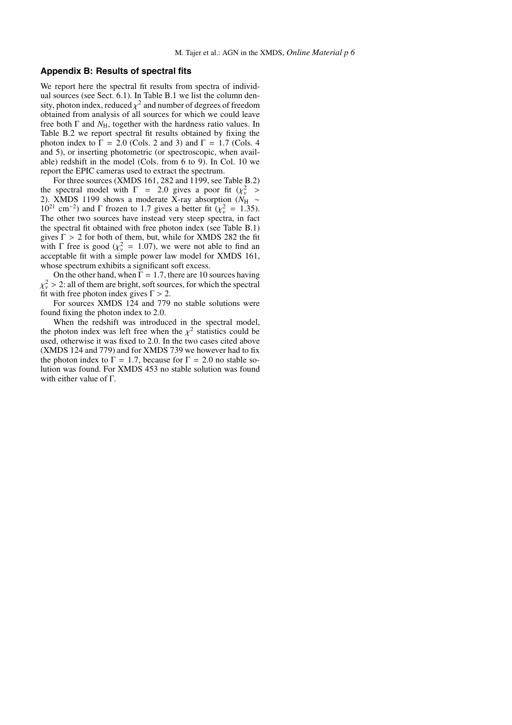## **Appendix B: Results of spectral fits**

We report here the spectral fit results from spectra of individual sources (see Sect. 6.1). In Table B.1 we list the column density, photon index, reduced  $\chi^2$  and number of degrees of freedom obtained from analysis of all sources for which we could leave free both  $\Gamma$  and  $N_H$ , together with the hardness ratio values. In Table B.2 we report spectral fit results obtained by fixing the photon index to  $\Gamma = 2.0$  (Cols. 2 and 3) and  $\Gamma = 1.7$  (Cols. 4 and 5), or inserting photometric (or spectroscopic, when available) redshift in the model (Cols. from 6 to 9). In Col. 10 we report the EPIC cameras used to extract the spectrum.

For three sources (XMDS 161, 282 and 1199, see Table B.2) the spectral model with  $\Gamma$  = 2.0 gives a poor fit  $(\chi^2_{\nu} >$ 2). XMDS 1199 shows a moderate X-ray absorption ( $N_H \sim$  $10^{21}$  cm<sup>-2</sup>) and  $\Gamma$  frozen to 1.7 gives a better fit  $(\chi^2_{\nu} = 1.35)$ . The other two sources have instead very steep spectra, in fact the spectral fit obtained with free photon index (see Table B.1) gives  $\Gamma > 2$  for both of them, but, while for XMDS 282 the fit with  $\Gamma$  free is good ( $\chi^2$  = 1.07), we were not able to find an acceptable fit with a simple power law model for XMDS 161, whose spectrum exhibits a significant soft excess.

On the other hand, when  $\Gamma = 1.7$ , there are 10 sources having  $\chi^2$  > 2: all of them are bright, soft sources, for which the spectral fit with free photon index gives  $\Gamma > 2$ .

For sources XMDS 124 and 779 no stable solutions were found fixing the photon index to 2.0.

When the redshift was introduced in the spectral model, the photon index was left free when the  $\chi^2$  statistics could be used, otherwise it was fixed to 2.0. In the two cases cited above (XMDS 124 and 779) and for XMDS 739 we however had to fix the photon index to  $\Gamma = 1.7$ , because for  $\Gamma = 2.0$  no stable solution was found. For XMDS 453 no stable solution was found with either value of  $\Gamma$ .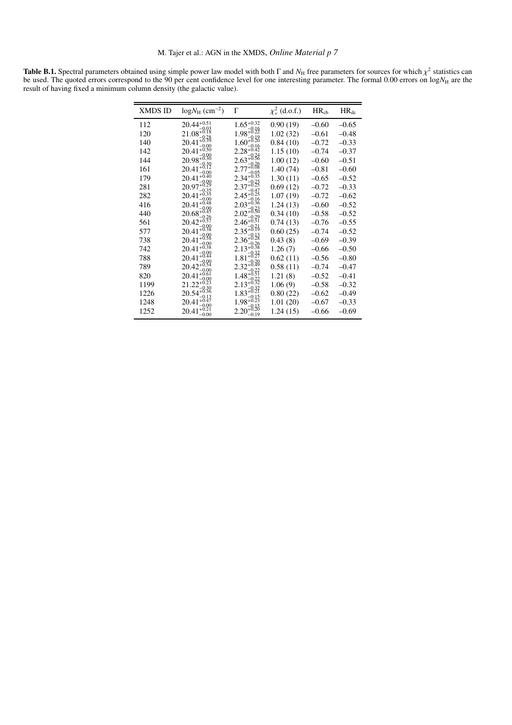**Table B.1.** Spectral parameters obtained using simple power law model with both  $\Gamma$  and  $N_H$  free parameters for sources for which  $\chi^2$  statistics can be used. The quoted errors correspond to the 90 per cent confidenc

| <b>XMDS ID</b> | $logN_{\rm H}$ (cm <sup>-2</sup> )    | $\Gamma$               | $\chi^2_{\nu}$ (d.o.f.) | $HR_{cb}$ | $HR_{dc}$ |
|----------------|---------------------------------------|------------------------|-------------------------|-----------|-----------|
| 112            | $20.44^{+0.51}_{-0.02}$               | $1.65^{+0.32}_{-0.72}$ | 0.90(19)                | $-0.60$   | $-0.65$   |
| 120            | $21.08_{-0.18}^{-0.03}$               | $1.98_{+0.22}^{-0.16}$ | 1.02(32)                | $-0.61$   | $-0.48$   |
| 140            | $20.41_{+0.39}_{-0.39}$               | $1.60_{-0.20}^{-0.19}$ | 0.84(10)                | $-0.72$   | $-0.33$   |
| 142            | $20.41_{-0.50}^{-0.00}$               | $2.28_{+0.42}_{-0.42}$ | 1.15(10)                | $-0.74$   | $-0.37$   |
| 144            | $20.98_{+0.30}^{+0.90}$               | $2.63_{-0.56}^{-0.24}$ | 1.00(12)                | $-0.60$   | $-0.51$   |
| 161            | 20.41                                 | $2.77^{+0.26}_{+0.08}$ | 1.40(74)                | $-0.81$   | $-0.60$   |
| 179            | $20.41_{+0.40}^{+0.00}$               | $2.34_{+0.35}^{-0.05}$ | 1.30(11)                | $-0.65$   | $-0.52$   |
| 281            | $20.97_{+0.29}^{+0.00}$               | $2.37_{+0.25}^{-0.25}$ | 0.69(12)                | $-0.72$   | $-0.33$   |
| 282            | $20.41_{+0.35}^{-0.35}$               | $2.45_{+0.25}_{-0.25}$ | 1.07(19)                | $-0.72$   | $-0.62$   |
| 416            | 20.41                                 | $2.03_{+0.36}^{-0.16}$ | 1.24(13)                | $-0.60$   | $-0.52$   |
| 440            | $20.68^{+0.45}_{-0.36}$               | $2.02^{+0.50}_{-0.50}$ | 0.34(10)                | $-0.58$   | $-0.52$   |
| 561            | $20.42^{+}$                           | $2.46^{\circ}$         | 0.74(13)                | $-0.76$   | $-0.55$   |
| 577            | $20.41^{\tiny{+0.00}}_{\tiny{+0.38}}$ | $2.35^{+0.19}$         | 0.60(25)                | $-0.74$   | $-0.52$   |
| 738            | $20.41_{-0.58}^{-0.98}$               | $2.36_{-0.28}^{-0.13}$ | 0.43(8)                 | $-0.69$   | $-0.39$   |
| 742            | $20.41_{+0.38}^{-0.00}$               | $2.13_{+0.38}^{-0.26}$ | 1.26(7)                 | $-0.66$   | $-0.50$   |
| 788            | $20.41^{+0.1}$                        | $1.81_{+0.27}_{-0.37}$ | 0.62(11)                | $-0.56$   | $-0.80$   |
| 789            | $20.42^{+}$                           | $2.32_{+0.49}^{-0.20}$ | 0.58(11)                | $-0.74$   | $-0.47$   |
| 820            | 20.41                                 | $1.48 + 0.51$          | 1.21(8)                 | $-0.52$   | $-0.41$   |
| 1199           | 21.22                                 | $2.13^{+0.1}$          | 1.06(9)                 | $-0.58$   | $-0.32$   |
| 1226           | $20.54^{+0.00}$                       | $1.83^{+0.21}$         | 0.80(22)                | $-0.62$   | $-0.49$   |
| 1248           | $20.41^{+0}$                          | $1.98_{+0.23}^{-0.15}$ | 1.01(20)                | $-0.67$   | $-0.33$   |
| 1252           | 20.41<br>$-0.00$                      | 2.20<br>$-0.19$        | 1.24 (15)               | $-0.66$   | $-0.69$   |
|                |                                       |                        |                         |           |           |